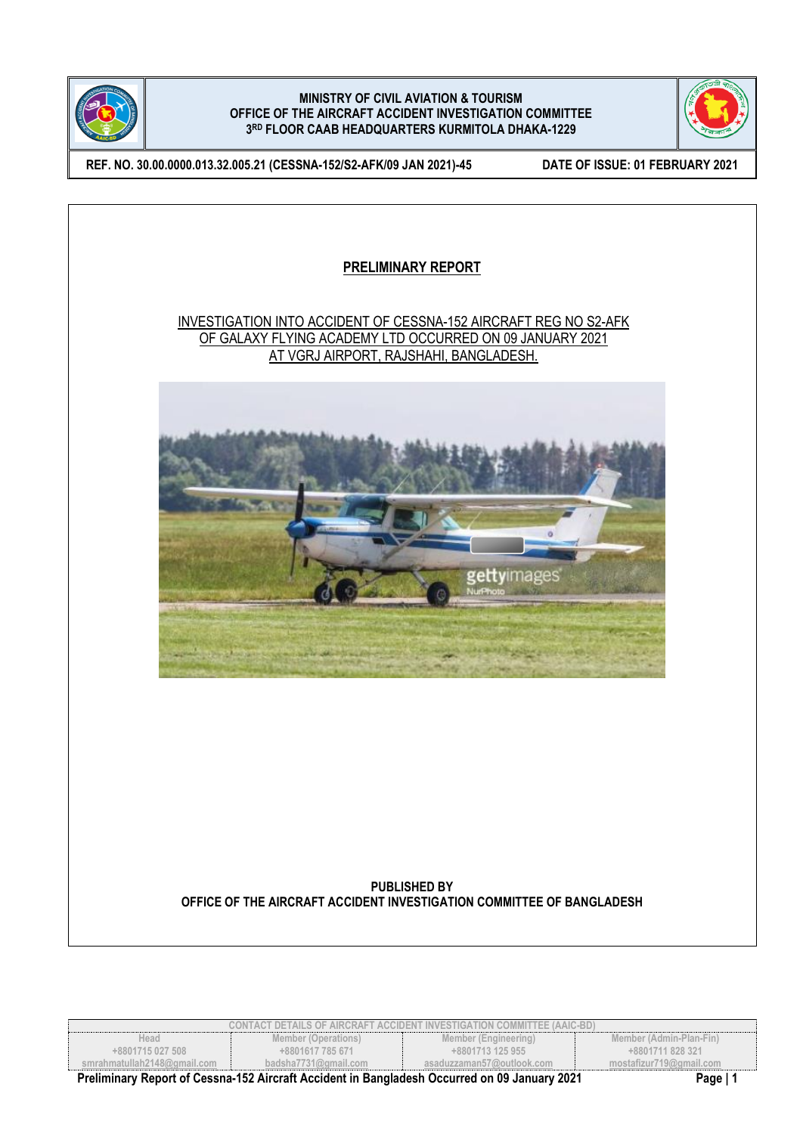



**REF. NO. 30.00.0000.013.32.005.21 (CESSNA-152/S2-AFK/09 JAN 2021)-45 DATE OF ISSUE: 01 FEBRUARY 2021**



| CONTACT DETAILS OF AIRCRAFT ACCIDENT INVESTIGATION COMMITTEE (AAIC-BD)                                          |                      |                           |                         |
|-----------------------------------------------------------------------------------------------------------------|----------------------|---------------------------|-------------------------|
| Head                                                                                                            | Member (Operations)  | Member (Engineering)      | Member (Admin-Plan-Fin) |
| +8801715 027 508                                                                                                | +8801617 785 671     | +8801713 125 955          | +8801711 828 321        |
| smrahmatullah2148@qmail.com                                                                                     | badsha7731@amail.com | asaduzzaman57@outlook.com | mostafizur719@gmail.com |
| Dreliminary Depart of Coopee 452 Aireraft Acoident in Departed as Occurred on 00 January 2024<br><b>Dogo</b> 14 |                      |                           |                         |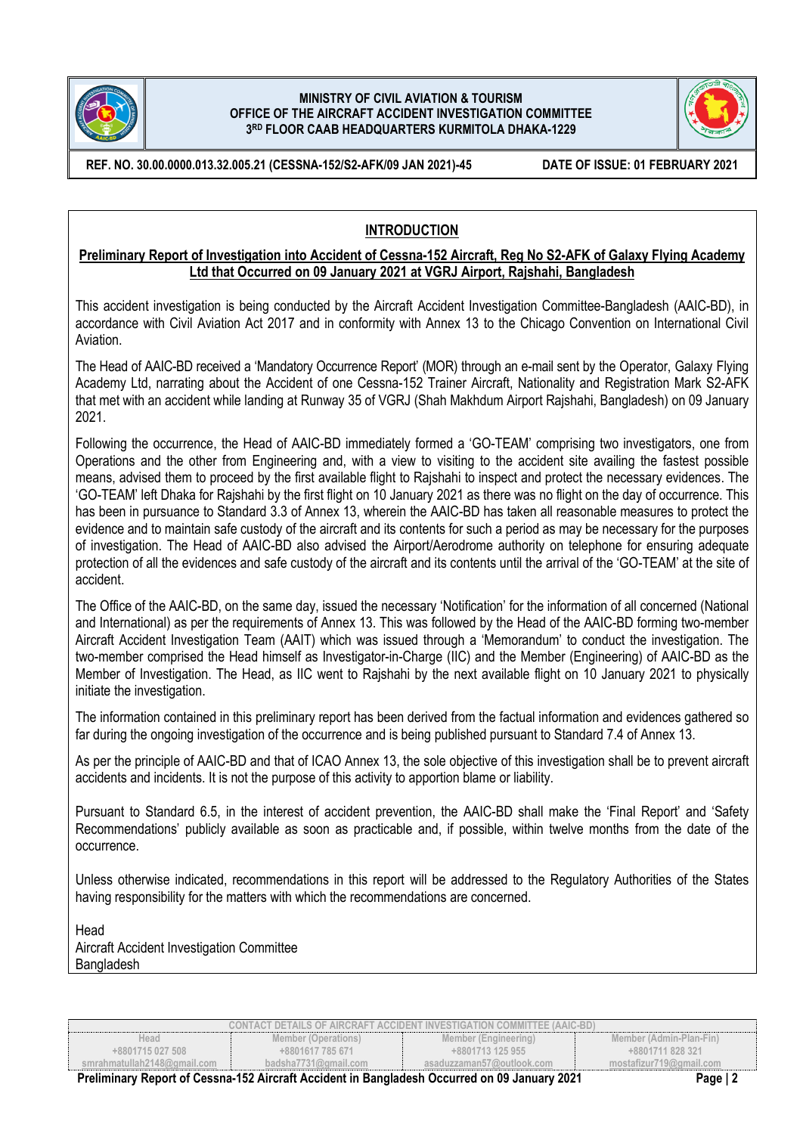



**REF. NO. 30.00.0000.013.32.005.21 (CESSNA-152/S2-AFK/09 JAN 2021)-45 DATE OF ISSUE: 01 FEBRUARY 2021**

# **INTRODUCTION**

### **Preliminary Report of Investigation into Accident of Cessna-152 Aircraft, Reg No S2-AFK of Galaxy Flying Academy Ltd that Occurred on 09 January 2021 at VGRJ Airport, Rajshahi, Bangladesh**

This accident investigation is being conducted by the Aircraft Accident Investigation Committee-Bangladesh (AAIC-BD), in accordance with Civil Aviation Act 2017 and in conformity with Annex 13 to the Chicago Convention on International Civil Aviation.

The Head of AAIC-BD received a 'Mandatory Occurrence Report' (MOR) through an e-mail sent by the Operator, Galaxy Flying Academy Ltd, narrating about the Accident of one Cessna-152 Trainer Aircraft, Nationality and Registration Mark S2-AFK that met with an accident while landing at Runway 35 of VGRJ (Shah Makhdum Airport Rajshahi, Bangladesh) on 09 January 2021.

Following the occurrence, the Head of AAIC-BD immediately formed a 'GO-TEAM' comprising two investigators, one from Operations and the other from Engineering and, with a view to visiting to the accident site availing the fastest possible means, advised them to proceed by the first available flight to Rajshahi to inspect and protect the necessary evidences. The 'GO-TEAM' left Dhaka for Rajshahi by the first flight on 10 January 2021 as there was no flight on the day of occurrence. This has been in pursuance to Standard 3.3 of Annex 13, wherein the AAIC-BD has taken all reasonable measures to protect the evidence and to maintain safe custody of the aircraft and its contents for such a period as may be necessary for the purposes of investigation. The Head of AAIC-BD also advised the Airport/Aerodrome authority on telephone for ensuring adequate protection of all the evidences and safe custody of the aircraft and its contents until the arrival of the 'GO-TEAM' at the site of accident.

The Office of the AAIC-BD, on the same day, issued the necessary 'Notification' for the information of all concerned (National and International) as per the requirements of Annex 13. This was followed by the Head of the AAIC-BD forming two-member Aircraft Accident Investigation Team (AAIT) which was issued through a 'Memorandum' to conduct the investigation. The two-member comprised the Head himself as Investigator-in-Charge (IIC) and the Member (Engineering) of AAIC-BD as the Member of Investigation. The Head, as IIC went to Rajshahi by the next available flight on 10 January 2021 to physically initiate the investigation.

The information contained in this preliminary report has been derived from the factual information and evidences gathered so far during the ongoing investigation of the occurrence and is being published pursuant to Standard 7.4 of Annex 13.

As per the principle of AAIC-BD and that of ICAO Annex 13, the sole objective of this investigation shall be to prevent aircraft accidents and incidents. It is not the purpose of this activity to apportion blame or liability.

Pursuant to Standard 6.5, in the interest of accident prevention, the AAIC-BD shall make the 'Final Report' and 'Safety Recommendations' publicly available as soon as practicable and, if possible, within twelve months from the date of the occurrence.

Unless otherwise indicated, recommendations in this report will be addressed to the Regulatory Authorities of the States having responsibility for the matters with which the recommendations are concerned.

Head Aircraft Accident Investigation Committee Bangladesh

| CONTACT DETAILS OF AIRCRAFT ACCIDENT INVESTIGATION COMMITTEE (AAIC-BD) |                      |                                  |                         |
|------------------------------------------------------------------------|----------------------|----------------------------------|-------------------------|
| Head                                                                   | Member (Operations)  | Member (Engineering)             | Member (Admin-Plan-Fin) |
| +8801715 027 508                                                       | +8801617 785 671     | +8801713 125 955                 | +8801711 828 321        |
| smrahmatullah2148@qmail.com                                            | badsha7731@gmail.com | asaduzzaman57@outlook.com        | mostafizur719@gmail.com |
| $\sim$<br>- - -                                                        |                      | $\sim$ $\sim$ $\sim$ $\sim$<br>. | -                       |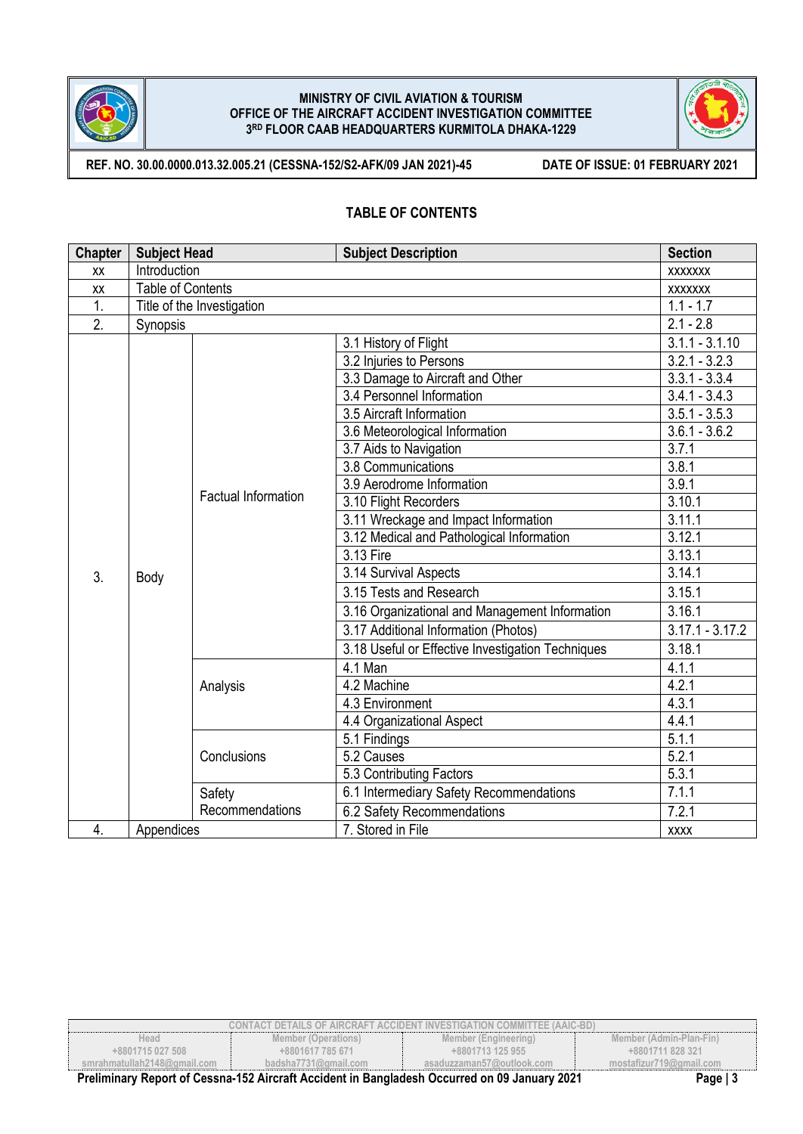



**REF. NO. 30.00.0000.013.32.005.21 (CESSNA-152/S2-AFK/09 JAN 2021)-45 DATE OF ISSUE: 01 FEBRUARY 2021**

## **TABLE OF CONTENTS**

| <b>Chapter</b>   | <b>Subject Head</b>      |                            | <b>Subject Description</b>                        | <b>Section</b>    |
|------------------|--------------------------|----------------------------|---------------------------------------------------|-------------------|
| XX               | Introduction             |                            |                                                   | <b>XXXXXXX</b>    |
| XX               | <b>Table of Contents</b> |                            |                                                   | <b>XXXXXXX</b>    |
| $\overline{1}$ . |                          | Title of the Investigation |                                                   | $1.1 - 1.7$       |
| 2.               | Synopsis                 |                            |                                                   | $2.1 - 2.8$       |
|                  |                          |                            | 3.1 History of Flight                             | $3.1.1 - 3.1.10$  |
|                  |                          |                            | 3.2 Injuries to Persons                           | $3.2.1 - 3.2.3$   |
|                  |                          |                            | 3.3 Damage to Aircraft and Other                  | $3.3.1 - 3.3.4$   |
|                  |                          |                            | 3.4 Personnel Information                         | $3.4.1 - 3.4.3$   |
|                  |                          |                            | 3.5 Aircraft Information                          | $3.5.1 - 3.5.3$   |
|                  |                          |                            | 3.6 Meteorological Information                    | $3.6.1 - 3.6.2$   |
|                  |                          |                            | 3.7 Aids to Navigation                            | 3.7.1             |
|                  |                          |                            | 3.8 Communications                                | 3.8.1             |
|                  |                          | <b>Factual Information</b> | 3.9 Aerodrome Information                         | 3.9.1             |
|                  |                          |                            | 3.10 Flight Recorders                             | 3.10.1            |
|                  |                          |                            | 3.11 Wreckage and Impact Information              | 3.11.1            |
|                  |                          |                            | 3.12 Medical and Pathological Information         | 3.12.1            |
|                  |                          |                            | 3.13 Fire                                         | 3.13.1            |
| 3.               | Body                     |                            | 3.14 Survival Aspects                             | 3.14.1            |
|                  |                          |                            | 3.15 Tests and Research                           | 3.15.1            |
|                  |                          |                            | 3.16 Organizational and Management Information    | 3.16.1            |
|                  |                          |                            | 3.17 Additional Information (Photos)              | $3.17.1 - 3.17.2$ |
|                  |                          |                            | 3.18 Useful or Effective Investigation Techniques | 3.18.1            |
|                  |                          |                            | 4.1 Man                                           | 4.1.1             |
|                  |                          | Analysis                   | 4.2 Machine                                       | 4.2.1             |
|                  |                          |                            | 4.3 Environment                                   | 4.3.1             |
|                  |                          |                            | 4.4 Organizational Aspect                         | 4.4.1             |
|                  |                          |                            | 5.1 Findings                                      | 5.1.1             |
|                  |                          | Conclusions                | 5.2 Causes                                        | 5.2.1             |
|                  |                          |                            | 5.3 Contributing Factors                          | 5.3.1             |
|                  |                          | Safety                     | 6.1 Intermediary Safety Recommendations           | 7.1.1             |
|                  |                          | Recommendations            | 6.2 Safety Recommendations                        | 7.2.1             |
| 4.               | Appendices               |                            | 7. Stored in File                                 | <b>XXXX</b>       |

| <b>CONTACT DETAILS OF AIRCRAFT ACCIDENT INVESTIGATION COMMITTEE (AAIC-BD)</b>                             |                      |                           |                         |
|-----------------------------------------------------------------------------------------------------------|----------------------|---------------------------|-------------------------|
| Head                                                                                                      | Member (Operations)  | Member (Engineering)      | Member (Admin-Plan-Fin) |
| +8801715 027 508                                                                                          | +8801617 785 671     | +8801713 125 955          | +8801711 828 321        |
| smrahmatullah2148@qmail.com                                                                               | badsha7731@gmail.com | asaduzzaman57@outlook.com | mostafizur719@gmail.com |
| Preliminary Report of Cessna-152 Aircraft Accident in Bangladesh Occurred on 09 January 2021<br>Page $ 3$ |                      |                           |                         |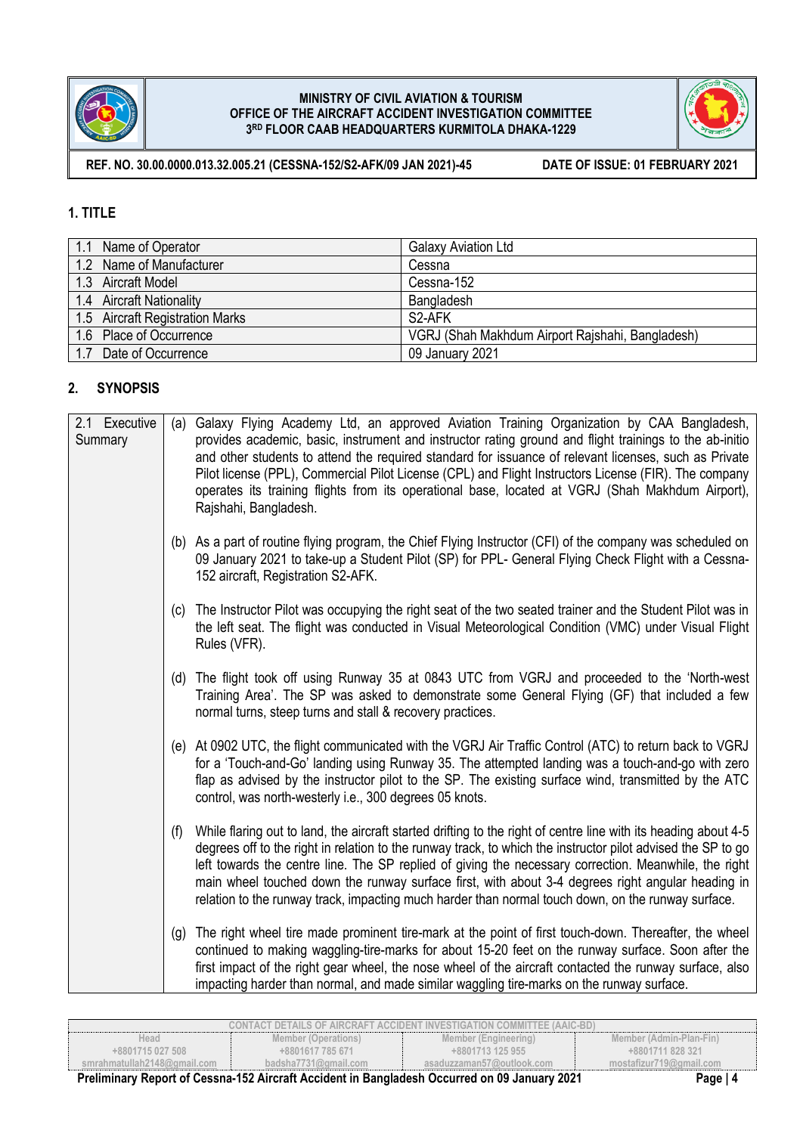



**REF. NO. 30.00.0000.013.32.005.21 (CESSNA-152/S2-AFK/09 JAN 2021)-45 DATE OF ISSUE: 01 FEBRUARY 2021**

# **1. TITLE**

| 1.1 Name of Operator            | <b>Galaxy Aviation Ltd</b>                       |
|---------------------------------|--------------------------------------------------|
| 1.2 Name of Manufacturer        | Cessna                                           |
| 1.3 Aircraft Model              | Cessna-152                                       |
| 1.4 Aircraft Nationality        | Bangladesh                                       |
| 1.5 Aircraft Registration Marks | S <sub>2</sub> -AFK                              |
| 1.6 Place of Occurrence         | VGRJ (Shah Makhdum Airport Rajshahi, Bangladesh) |
| 1.7 Date of Occurrence          | 09 January 2021                                  |

# **2. SYNOPSIS**

| 2.1 Executive<br>Summary |     | (a) Galaxy Flying Academy Ltd, an approved Aviation Training Organization by CAA Bangladesh,<br>provides academic, basic, instrument and instructor rating ground and flight trainings to the ab-initio<br>and other students to attend the required standard for issuance of relevant licenses, such as Private<br>Pilot license (PPL), Commercial Pilot License (CPL) and Flight Instructors License (FIR). The company<br>operates its training flights from its operational base, located at VGRJ (Shah Makhdum Airport),<br>Rajshahi, Bangladesh. |
|--------------------------|-----|--------------------------------------------------------------------------------------------------------------------------------------------------------------------------------------------------------------------------------------------------------------------------------------------------------------------------------------------------------------------------------------------------------------------------------------------------------------------------------------------------------------------------------------------------------|
|                          |     | (b) As a part of routine flying program, the Chief Flying Instructor (CFI) of the company was scheduled on<br>09 January 2021 to take-up a Student Pilot (SP) for PPL- General Flying Check Flight with a Cessna-<br>152 aircraft, Registration S2-AFK.                                                                                                                                                                                                                                                                                                |
|                          |     | (c) The Instructor Pilot was occupying the right seat of the two seated trainer and the Student Pilot was in<br>the left seat. The flight was conducted in Visual Meteorological Condition (VMC) under Visual Flight<br>Rules (VFR).                                                                                                                                                                                                                                                                                                                   |
|                          |     | (d) The flight took off using Runway 35 at 0843 UTC from VGRJ and proceeded to the 'North-west<br>Training Area'. The SP was asked to demonstrate some General Flying (GF) that included a few<br>normal turns, steep turns and stall & recovery practices.                                                                                                                                                                                                                                                                                            |
|                          |     | (e) At 0902 UTC, the flight communicated with the VGRJ Air Traffic Control (ATC) to return back to VGRJ<br>for a 'Touch-and-Go' landing using Runway 35. The attempted landing was a touch-and-go with zero<br>flap as advised by the instructor pilot to the SP. The existing surface wind, transmitted by the ATC<br>control, was north-westerly i.e., 300 degrees 05 knots.                                                                                                                                                                         |
|                          | (f) | While flaring out to land, the aircraft started drifting to the right of centre line with its heading about 4-5<br>degrees off to the right in relation to the runway track, to which the instructor pilot advised the SP to go<br>left towards the centre line. The SP replied of giving the necessary correction. Meanwhile, the right<br>main wheel touched down the runway surface first, with about 3-4 degrees right angular heading in<br>relation to the runway track, impacting much harder than normal touch down, on the runway surface.    |
|                          |     | (g) The right wheel tire made prominent tire-mark at the point of first touch-down. Thereafter, the wheel<br>continued to making waggling-tire-marks for about 15-20 feet on the runway surface. Soon after the<br>first impact of the right gear wheel, the nose wheel of the aircraft contacted the runway surface, also<br>impacting harder than normal, and made similar waggling tire-marks on the runway surface.                                                                                                                                |

| CONTACT DETAILS OF AIRCRAFT ACCIDENT INVESTIGATION COMMITTEE (AAIC-BD). |                          |                           |                         |  |
|-------------------------------------------------------------------------|--------------------------|---------------------------|-------------------------|--|
| Head                                                                    | Member (Operations)      | Member (Engineering)      | Member (Admin-Plan-Fin) |  |
| +8801715 027 508                                                        | +8801617 785 671         | +8801713 125 955          | +8801711 828 321        |  |
| smrahmatullah2148@gmail.com                                             | badsha $7731$ @gmail.com | asaduzzaman57@outlook.com | mostafizur719@gmail.com |  |
| - - -<br>.                                                              |                          | ----                      |                         |  |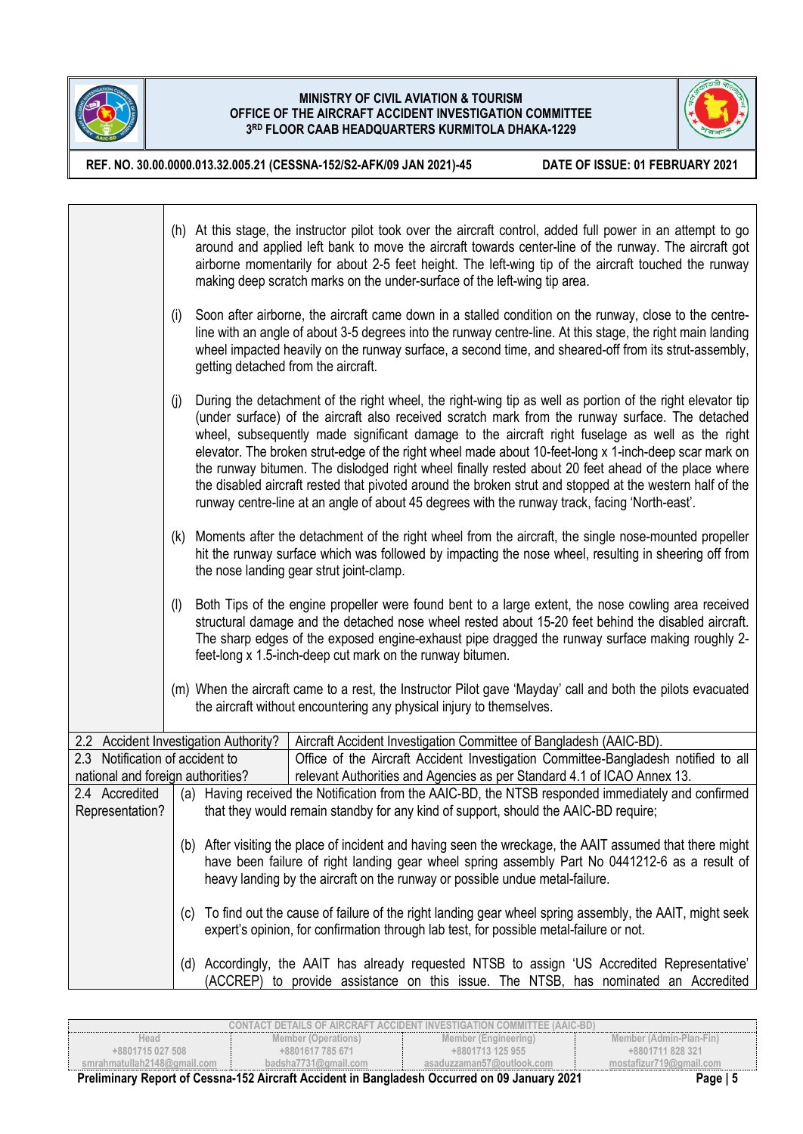



**REF. NO. 30.00.0000.013.32.005.21 (CESSNA-152/S2-AFK/09 JAN 2021)-45 DATE OF ISSUE: 01 FEBRUARY 2021**

|                                                                      |                                                                                                                                                                                                                                                               | (h) At this stage, the instructor pilot took over the aircraft control, added full power in an attempt to go<br>around and applied left bank to move the aircraft towards center-line of the runway. The aircraft got<br>airborne momentarily for about 2-5 feet height. The left-wing tip of the aircraft touched the runway<br>making deep scratch marks on the under-surface of the left-wing tip area.                                                                                                                                                                                                                                                                                                                                     |  |
|----------------------------------------------------------------------|---------------------------------------------------------------------------------------------------------------------------------------------------------------------------------------------------------------------------------------------------------------|------------------------------------------------------------------------------------------------------------------------------------------------------------------------------------------------------------------------------------------------------------------------------------------------------------------------------------------------------------------------------------------------------------------------------------------------------------------------------------------------------------------------------------------------------------------------------------------------------------------------------------------------------------------------------------------------------------------------------------------------|--|
|                                                                      | (i)                                                                                                                                                                                                                                                           | Soon after airborne, the aircraft came down in a stalled condition on the runway, close to the centre-<br>line with an angle of about 3-5 degrees into the runway centre-line. At this stage, the right main landing<br>wheel impacted heavily on the runway surface, a second time, and sheared-off from its strut-assembly,<br>getting detached from the aircraft.                                                                                                                                                                                                                                                                                                                                                                           |  |
|                                                                      | (i)                                                                                                                                                                                                                                                           | During the detachment of the right wheel, the right-wing tip as well as portion of the right elevator tip<br>(under surface) of the aircraft also received scratch mark from the runway surface. The detached<br>wheel, subsequently made significant damage to the aircraft right fuselage as well as the right<br>elevator. The broken strut-edge of the right wheel made about 10-feet-long x 1-inch-deep scar mark on<br>the runway bitumen. The dislodged right wheel finally rested about 20 feet ahead of the place where<br>the disabled aircraft rested that pivoted around the broken strut and stopped at the western half of the<br>runway centre-line at an angle of about 45 degrees with the runway track, facing 'North-east'. |  |
|                                                                      | (k) Moments after the detachment of the right wheel from the aircraft, the single nose-mounted propeller<br>hit the runway surface which was followed by impacting the nose wheel, resulting in sheering off from<br>the nose landing gear strut joint-clamp. |                                                                                                                                                                                                                                                                                                                                                                                                                                                                                                                                                                                                                                                                                                                                                |  |
|                                                                      | (1)                                                                                                                                                                                                                                                           | Both Tips of the engine propeller were found bent to a large extent, the nose cowling area received<br>structural damage and the detached nose wheel rested about 15-20 feet behind the disabled aircraft.<br>The sharp edges of the exposed engine-exhaust pipe dragged the runway surface making roughly 2-<br>feet-long x 1.5-inch-deep cut mark on the runway bitumen.                                                                                                                                                                                                                                                                                                                                                                     |  |
|                                                                      |                                                                                                                                                                                                                                                               | (m) When the aircraft came to a rest, the Instructor Pilot gave 'Mayday' call and both the pilots evacuated<br>the aircraft without encountering any physical injury to themselves.                                                                                                                                                                                                                                                                                                                                                                                                                                                                                                                                                            |  |
| 2.2 Accident Investigation Authority?                                |                                                                                                                                                                                                                                                               | Aircraft Accident Investigation Committee of Bangladesh (AAIC-BD).                                                                                                                                                                                                                                                                                                                                                                                                                                                                                                                                                                                                                                                                             |  |
| 2.3 Notification of accident to<br>national and foreign authorities? |                                                                                                                                                                                                                                                               | Office of the Aircraft Accident Investigation Committee-Bangladesh notified to all<br>relevant Authorities and Agencies as per Standard 4.1 of ICAO Annex 13.                                                                                                                                                                                                                                                                                                                                                                                                                                                                                                                                                                                  |  |
| 2.4 Accredited                                                       |                                                                                                                                                                                                                                                               | (a) Having received the Notification from the AAIC-BD, the NTSB responded immediately and confirmed                                                                                                                                                                                                                                                                                                                                                                                                                                                                                                                                                                                                                                            |  |
| Representation?                                                      |                                                                                                                                                                                                                                                               | that they would remain standby for any kind of support, should the AAIC-BD require;                                                                                                                                                                                                                                                                                                                                                                                                                                                                                                                                                                                                                                                            |  |
|                                                                      |                                                                                                                                                                                                                                                               | (b) After visiting the place of incident and having seen the wreckage, the AAIT assumed that there might<br>have been failure of right landing gear wheel spring assembly Part No 0441212-6 as a result of<br>heavy landing by the aircraft on the runway or possible undue metal-failure.                                                                                                                                                                                                                                                                                                                                                                                                                                                     |  |
|                                                                      |                                                                                                                                                                                                                                                               | (c) To find out the cause of failure of the right landing gear wheel spring assembly, the AAIT, might seek<br>expert's opinion, for confirmation through lab test, for possible metal-failure or not.                                                                                                                                                                                                                                                                                                                                                                                                                                                                                                                                          |  |
|                                                                      |                                                                                                                                                                                                                                                               | (d) Accordingly, the AAIT has already requested NTSB to assign 'US Accredited Representative'<br>(ACCREP) to provide assistance on this issue. The NTSB, has nominated an Accredited                                                                                                                                                                                                                                                                                                                                                                                                                                                                                                                                                           |  |

| CONTACT DETAILS OF AIRCRAFT ACCIDENT INVESTIGATION COMMITTEE (AAIC-BD). |                                                                                                                                                                                                                                                                                                                                               |                           |                         |  |
|-------------------------------------------------------------------------|-----------------------------------------------------------------------------------------------------------------------------------------------------------------------------------------------------------------------------------------------------------------------------------------------------------------------------------------------|---------------------------|-------------------------|--|
| Head                                                                    | Member (Operations)                                                                                                                                                                                                                                                                                                                           | Member (Engineering)      | Member (Admin-Plan-Fin) |  |
| +8801715 027 508                                                        | +8801617 785 671                                                                                                                                                                                                                                                                                                                              | +8801713 125 955          | +8801711 828 321        |  |
| smrahmatullah2148@ɑmail.com                                             | badsha $7731$ @gmail.com                                                                                                                                                                                                                                                                                                                      | asaduzzaman57@outlook.com | mostafizur719@gmail.com |  |
| - - -<br>.<br>$\sim$                                                    | $\overline{a}$ . The set of $\overline{a}$ , $\overline{a}$ , $\overline{a}$ , $\overline{a}$ , $\overline{a}$ , $\overline{a}$ , $\overline{a}$ , $\overline{a}$ , $\overline{a}$ , $\overline{a}$ , $\overline{a}$ , $\overline{a}$ , $\overline{a}$ , $\overline{a}$ , $\overline{a}$ , $\overline{a}$ , $\overline{a}$ , $\overline{a}$ , | $- - - -$<br>.            |                         |  |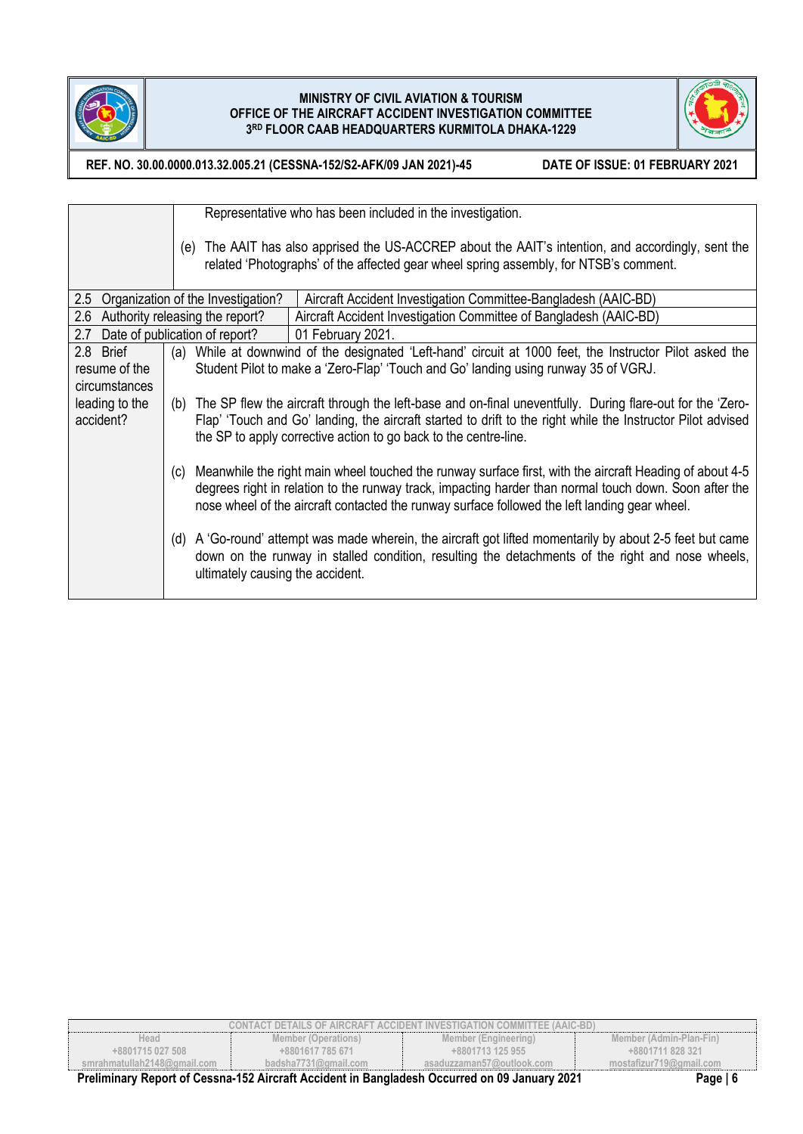



**REF. NO. 30.00.0000.013.32.005.21 (CESSNA-152/S2-AFK/09 JAN 2021)-45 DATE OF ISSUE: 01 FEBRUARY 2021**

Representative who has been included in the investigation.

(e) The AAIT has also apprised the US-ACCREP about the AAIT's intention, and accordingly, sent the related 'Photographs' of the affected gear wheel spring assembly, for NTSB's comment.

|                                                                                                              | 2.5 Organization of the Investigation? | Aircraft Accident Investigation Committee-Bangladesh (AAIC-BD)                                                |  |
|--------------------------------------------------------------------------------------------------------------|----------------------------------------|---------------------------------------------------------------------------------------------------------------|--|
|                                                                                                              | 2.6 Authority releasing the report?    | Aircraft Accident Investigation Committee of Bangladesh (AAIC-BD)                                             |  |
|                                                                                                              | 2.7 Date of publication of report?     | 01 February 2021.                                                                                             |  |
| 2.8 Brief                                                                                                    |                                        | (a) While at downwind of the designated 'Left-hand' circuit at 1000 feet, the Instructor Pilot asked the      |  |
| resume of the                                                                                                |                                        | Student Pilot to make a 'Zero-Flap' 'Touch and Go' landing using runway 35 of VGRJ.                           |  |
| circumstances                                                                                                |                                        |                                                                                                               |  |
| leading to the                                                                                               |                                        | (b) The SP flew the aircraft through the left-base and on-final uneventfully. During flare-out for the 'Zero- |  |
| accident?                                                                                                    |                                        | Flap' 'Touch and Go' landing, the aircraft started to drift to the right while the Instructor Pilot advised   |  |
|                                                                                                              |                                        | the SP to apply corrective action to go back to the centre-line.                                              |  |
|                                                                                                              |                                        |                                                                                                               |  |
|                                                                                                              | (C)                                    | Meanwhile the right main wheel touched the runway surface first, with the aircraft Heading of about 4-5       |  |
|                                                                                                              |                                        | degrees right in relation to the runway track, impacting harder than normal touch down. Soon after the        |  |
|                                                                                                              |                                        | nose wheel of the aircraft contacted the runway surface followed the left landing gear wheel.                 |  |
|                                                                                                              |                                        |                                                                                                               |  |
| A 'Go-round' attempt was made wherein, the aircraft got lifted momentarily by about 2-5 feet but came<br>(d) |                                        |                                                                                                               |  |
|                                                                                                              |                                        | down on the runway in stalled condition, resulting the detachments of the right and nose wheels,              |  |
|                                                                                                              | ultimately causing the accident.       |                                                                                                               |  |
|                                                                                                              |                                        |                                                                                                               |  |

| Head<br>+8801715 027 508    | Member (Operations)<br>+8801617 785 671                                                      | Member (Engineering)<br>+8801713 125 955 | Member (Admin-Plan-Fin)<br>+8801711 828 321 |
|-----------------------------|----------------------------------------------------------------------------------------------|------------------------------------------|---------------------------------------------|
| smrahmatullah2148@qmail.com | badsha7731@gmail.com                                                                         | asaduzzaman57@outlook.com                | mostafizur719@gmail.com                     |
|                             | Ductionary Depart of Concret 459 Aircraft Angletetin Departments Occurred on 00 January 2004 |                                          | $D = 10$                                    |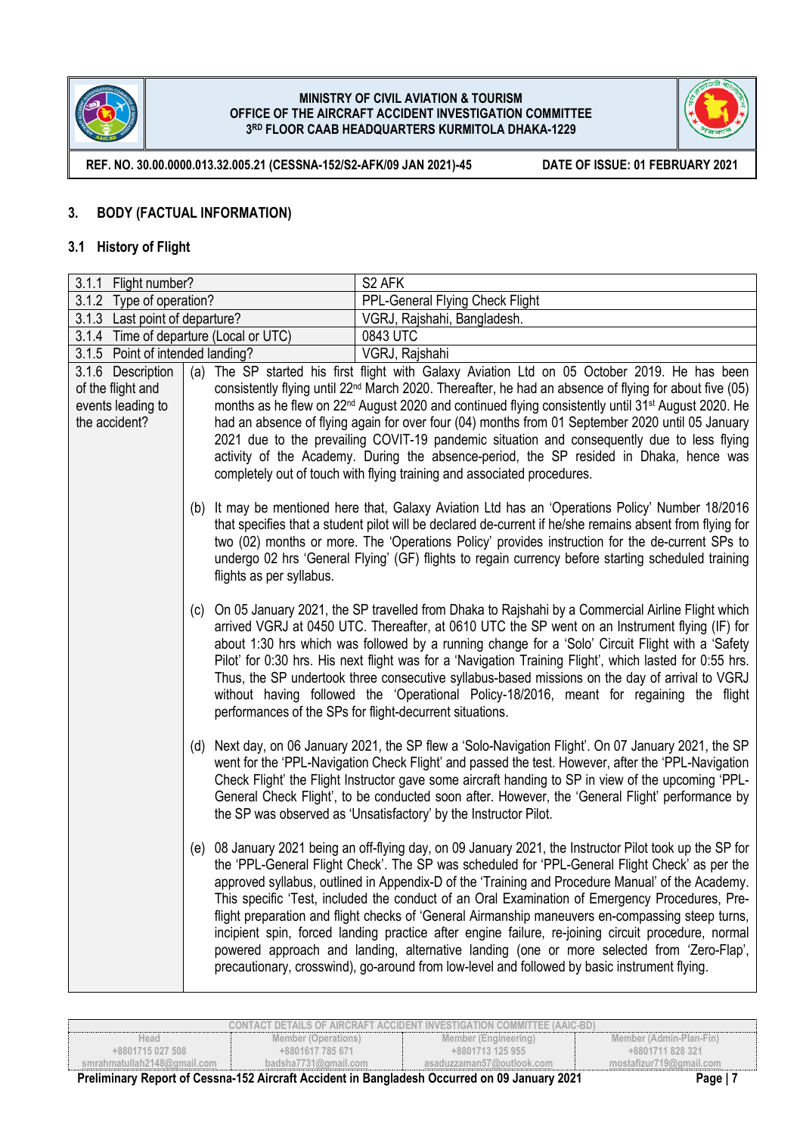



**REF. NO. 30.00.0000.013.32.005.21 (CESSNA-152/S2-AFK/09 JAN 2021)-45 DATE OF ISSUE: 01 FEBRUARY 2021**

## **3. BODY (FACTUAL INFORMATION)**

### **3.1 History of Flight**

| 3.1.1 Flight number?                                                         |                                                                                                                                                                                                                                                                                                                                                                                                                                                                                                                                                                                                                                                                                   | S <sub>2</sub> AFK                                                                                                                                                                                                                                                                                                                                                                                                                                                                                                                                                                                                                                                                                                                                                                                                      |
|------------------------------------------------------------------------------|-----------------------------------------------------------------------------------------------------------------------------------------------------------------------------------------------------------------------------------------------------------------------------------------------------------------------------------------------------------------------------------------------------------------------------------------------------------------------------------------------------------------------------------------------------------------------------------------------------------------------------------------------------------------------------------|-------------------------------------------------------------------------------------------------------------------------------------------------------------------------------------------------------------------------------------------------------------------------------------------------------------------------------------------------------------------------------------------------------------------------------------------------------------------------------------------------------------------------------------------------------------------------------------------------------------------------------------------------------------------------------------------------------------------------------------------------------------------------------------------------------------------------|
| 3.1.2 Type of operation?                                                     |                                                                                                                                                                                                                                                                                                                                                                                                                                                                                                                                                                                                                                                                                   | PPL-General Flying Check Flight                                                                                                                                                                                                                                                                                                                                                                                                                                                                                                                                                                                                                                                                                                                                                                                         |
| 3.1.3 Last point of departure?                                               |                                                                                                                                                                                                                                                                                                                                                                                                                                                                                                                                                                                                                                                                                   | VGRJ, Rajshahi, Bangladesh.                                                                                                                                                                                                                                                                                                                                                                                                                                                                                                                                                                                                                                                                                                                                                                                             |
|                                                                              | 3.1.4 Time of departure (Local or UTC)                                                                                                                                                                                                                                                                                                                                                                                                                                                                                                                                                                                                                                            | 0843 UTC                                                                                                                                                                                                                                                                                                                                                                                                                                                                                                                                                                                                                                                                                                                                                                                                                |
| 3.1.5 Point of intended landing?                                             |                                                                                                                                                                                                                                                                                                                                                                                                                                                                                                                                                                                                                                                                                   | VGRJ, Rajshahi                                                                                                                                                                                                                                                                                                                                                                                                                                                                                                                                                                                                                                                                                                                                                                                                          |
| 3.1.6 Description<br>of the flight and<br>events leading to<br>the accident? | (a)                                                                                                                                                                                                                                                                                                                                                                                                                                                                                                                                                                                                                                                                               | The SP started his first flight with Galaxy Aviation Ltd on 05 October 2019. He has been<br>consistently flying until 22 <sup>nd</sup> March 2020. Thereafter, he had an absence of flying for about five (05)<br>months as he flew on 22 <sup>nd</sup> August 2020 and continued flying consistently until 31 <sup>st</sup> August 2020. He<br>had an absence of flying again for over four (04) months from 01 September 2020 until 05 January<br>2021 due to the prevailing COVIT-19 pandemic situation and consequently due to less flying<br>activity of the Academy. During the absence-period, the SP resided in Dhaka, hence was<br>completely out of touch with flying training and associated procedures.                                                                                                     |
|                                                                              | (b)<br>flights as per syllabus.                                                                                                                                                                                                                                                                                                                                                                                                                                                                                                                                                                                                                                                   | It may be mentioned here that, Galaxy Aviation Ltd has an 'Operations Policy' Number 18/2016<br>that specifies that a student pilot will be declared de-current if he/she remains absent from flying for<br>two (02) months or more. The 'Operations Policy' provides instruction for the de-current SPs to<br>undergo 02 hrs 'General Flying' (GF) flights to regain currency before starting scheduled training                                                                                                                                                                                                                                                                                                                                                                                                       |
|                                                                              | On 05 January 2021, the SP travelled from Dhaka to Rajshahi by a Commercial Airline Flight which<br>(C)<br>arrived VGRJ at 0450 UTC. Thereafter, at 0610 UTC the SP went on an Instrument flying (IF) for<br>about 1:30 hrs which was followed by a running change for a 'Solo' Circuit Flight with a 'Safety<br>Pilot' for 0:30 hrs. His next flight was for a 'Navigation Training Flight', which lasted for 0:55 hrs.<br>Thus, the SP undertook three consecutive syllabus-based missions on the day of arrival to VGRJ<br>without having followed the 'Operational Policy-18/2016, meant for regaining the flight<br>performances of the SPs for flight-decurrent situations. |                                                                                                                                                                                                                                                                                                                                                                                                                                                                                                                                                                                                                                                                                                                                                                                                                         |
| (d)<br>the SP was observed as 'Unsatisfactory' by the Instructor Pilot.      |                                                                                                                                                                                                                                                                                                                                                                                                                                                                                                                                                                                                                                                                                   | Next day, on 06 January 2021, the SP flew a 'Solo-Navigation Flight'. On 07 January 2021, the SP<br>went for the 'PPL-Navigation Check Flight' and passed the test. However, after the 'PPL-Navigation<br>Check Flight' the Flight Instructor gave some aircraft handing to SP in view of the upcoming 'PPL-<br>General Check Flight', to be conducted soon after. However, the 'General Flight' performance by                                                                                                                                                                                                                                                                                                                                                                                                         |
|                                                                              |                                                                                                                                                                                                                                                                                                                                                                                                                                                                                                                                                                                                                                                                                   | (e) 08 January 2021 being an off-flying day, on 09 January 2021, the Instructor Pilot took up the SP for<br>the 'PPL-General Flight Check'. The SP was scheduled for 'PPL-General Flight Check' as per the<br>approved syllabus, outlined in Appendix-D of the 'Training and Procedure Manual' of the Academy.<br>This specific 'Test, included the conduct of an Oral Examination of Emergency Procedures, Pre-<br>flight preparation and flight checks of 'General Airmanship maneuvers en-compassing steep turns,<br>incipient spin, forced landing practice after engine failure, re-joining circuit procedure, normal<br>powered approach and landing, alternative landing (one or more selected from 'Zero-Flap',<br>precautionary, crosswind), go-around from low-level and followed by basic instrument flying. |

| CONTACT DETAILS OF AIRCRAFT ACCIDENT INVESTIGATION COMMITTEE (AAIC-BD). |                          |                           |                         |  |
|-------------------------------------------------------------------------|--------------------------|---------------------------|-------------------------|--|
| Head                                                                    | Member (Operations)      | Member (Engineering)      | Member (Admin-Plan-Fin) |  |
| +8801715 027 508                                                        | +8801617 785 671         | +8801713 125 955          | +8801711828321          |  |
| smrahmatullah2148@ɑmail.com                                             | badsha $7731$ @gmail.com | asaduzzaman57@outlook.com | mostafizur719@gmail.com |  |
| -                                                                       |                          |                           |                         |  |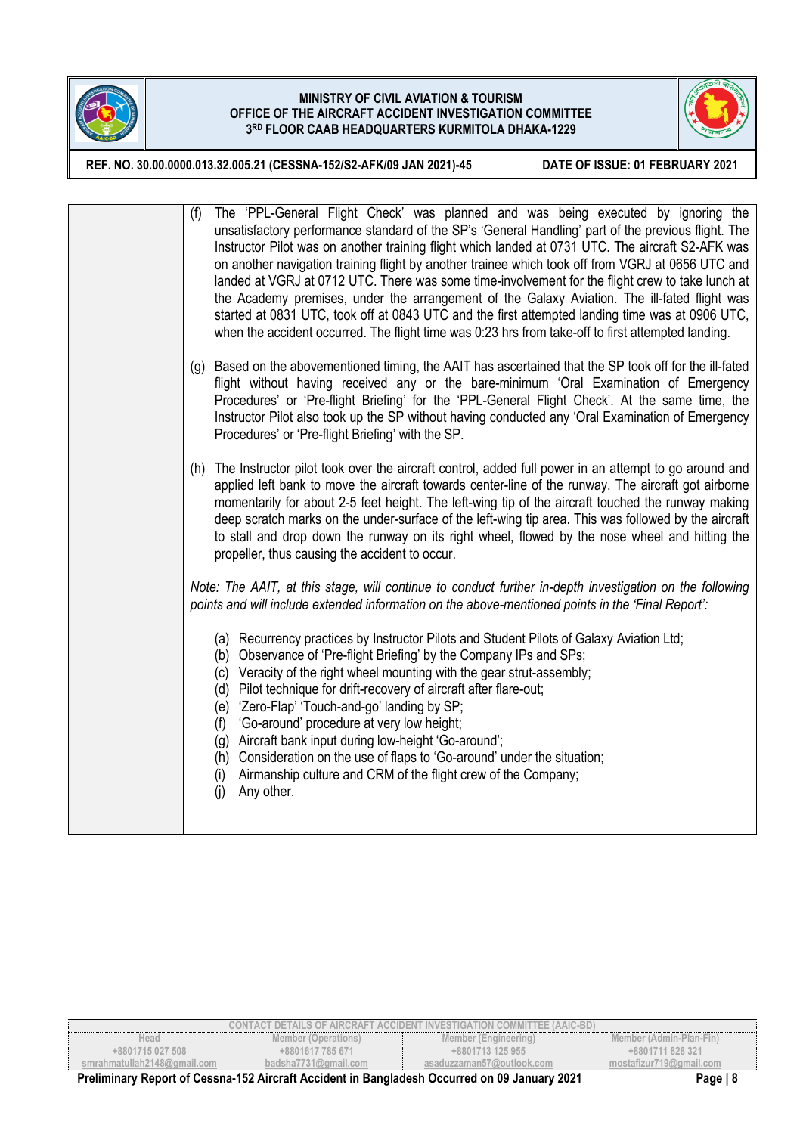



**REF. NO. 30.00.0000.013.32.005.21 (CESSNA-152/S2-AFK/09 JAN 2021)-45 DATE OF ISSUE: 01 FEBRUARY 2021**

| The 'PPL-General Flight Check' was planned and was being executed by ignoring the<br>(f)<br>unsatisfactory performance standard of the SP's 'General Handling' part of the previous flight. The<br>Instructor Pilot was on another training flight which landed at 0731 UTC. The aircraft S2-AFK was<br>on another navigation training flight by another trainee which took off from VGRJ at 0656 UTC and<br>landed at VGRJ at 0712 UTC. There was some time-involvement for the flight crew to take lunch at<br>the Academy premises, under the arrangement of the Galaxy Aviation. The ill-fated flight was<br>started at 0831 UTC, took off at 0843 UTC and the first attempted landing time was at 0906 UTC,<br>when the accident occurred. The flight time was 0:23 hrs from take-off to first attempted landing. |
|------------------------------------------------------------------------------------------------------------------------------------------------------------------------------------------------------------------------------------------------------------------------------------------------------------------------------------------------------------------------------------------------------------------------------------------------------------------------------------------------------------------------------------------------------------------------------------------------------------------------------------------------------------------------------------------------------------------------------------------------------------------------------------------------------------------------|
| (g) Based on the abovementioned timing, the AAIT has ascertained that the SP took off for the ill-fated<br>flight without having received any or the bare-minimum 'Oral Examination of Emergency<br>Procedures' or 'Pre-flight Briefing' for the 'PPL-General Flight Check'. At the same time, the<br>Instructor Pilot also took up the SP without having conducted any 'Oral Examination of Emergency<br>Procedures' or 'Pre-flight Briefing' with the SP.                                                                                                                                                                                                                                                                                                                                                            |
| (h) The Instructor pilot took over the aircraft control, added full power in an attempt to go around and<br>applied left bank to move the aircraft towards center-line of the runway. The aircraft got airborne<br>momentarily for about 2-5 feet height. The left-wing tip of the aircraft touched the runway making<br>deep scratch marks on the under-surface of the left-wing tip area. This was followed by the aircraft<br>to stall and drop down the runway on its right wheel, flowed by the nose wheel and hitting the<br>propeller, thus causing the accident to occur.                                                                                                                                                                                                                                      |
| Note: The AAIT, at this stage, will continue to conduct further in-depth investigation on the following<br>points and will include extended information on the above-mentioned points in the 'Final Report':                                                                                                                                                                                                                                                                                                                                                                                                                                                                                                                                                                                                           |
| (a) Recurrency practices by Instructor Pilots and Student Pilots of Galaxy Aviation Ltd;<br>Observance of 'Pre-flight Briefing' by the Company IPs and SPs;<br>(b)<br>Veracity of the right wheel mounting with the gear strut-assembly;<br>(c)<br>Pilot technique for drift-recovery of aircraft after flare-out;<br>(d)<br>'Zero-Flap' 'Touch-and-go' landing by SP;<br>(e)<br>'Go-around' procedure at very low height;<br>(f)<br>Aircraft bank input during low-height 'Go-around';<br>(g)<br>Consideration on the use of flaps to 'Go-around' under the situation;<br>(h)<br>Airmanship culture and CRM of the flight crew of the Company;<br>(i)<br>(i)<br>Any other.                                                                                                                                            |

| CONTACT DETAILS OF AIRCRAFT ACCIDENT INVESTIGATION COMMITTEE (AAIC-BD)                                                 |                      |                           |                         |  |
|------------------------------------------------------------------------------------------------------------------------|----------------------|---------------------------|-------------------------|--|
| Head                                                                                                                   | Member (Operations)  | Member (Engineering)      | Member (Admin-Plan-Fin) |  |
| $+8801715027508$                                                                                                       | +8801617 785 671     | +8801713 125 955          | +8801711 828 321        |  |
| smrahmatullah2148@qmail.com                                                                                            | badsha7731@gmail.com | asaduzzaman57@outlook.com | mostafizur719@gmail.com |  |
| <b>B. P. L. B. L. L. CO. L. L. LEO AL. L. D. L. L. L. B. L. L. L. D. L. L. L. L. CO. L. L. L. DOO4</b><br><b>P.</b> 10 |                      |                           |                         |  |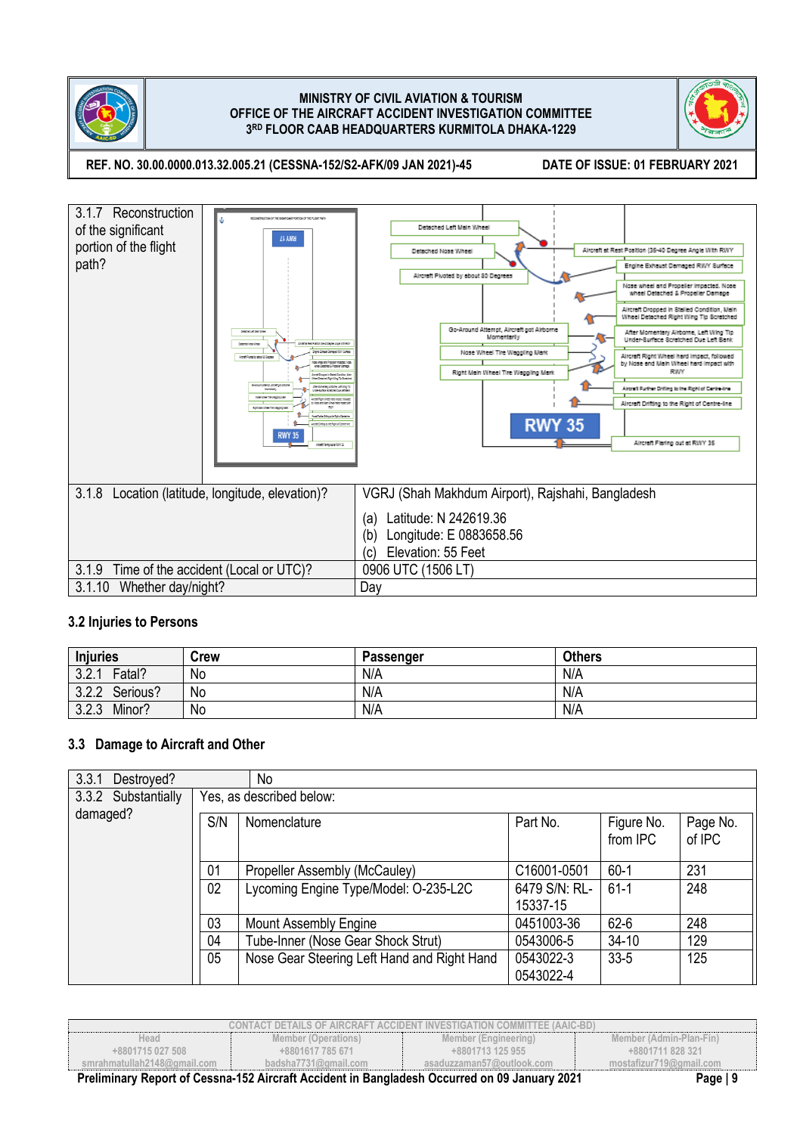



**REF. NO. 30.00.0000.013.32.005.21 (CESSNA-152/S2-AFK/09 JAN 2021)-45 DATE OF ISSUE: 01 FEBRUARY 2021**



## **3.2 Injuries to Persons**

| <b>Injuries</b>   | Crew | Passenger | <b>Others</b> |
|-------------------|------|-----------|---------------|
| 3.2.1<br>Fatal?   | No   | N/A       | N/A           |
| 3.2.2<br>Serious? | No   | N/A       | N/A           |
| 3.2.3<br>Minor?   | No   | N/A       | N/A           |

## **3.3 Damage to Aircraft and Other**

| 3.3.1<br>Destroyed? |     | No                                          |               |                        |                    |
|---------------------|-----|---------------------------------------------|---------------|------------------------|--------------------|
| 3.3.2 Substantially |     | Yes, as described below:                    |               |                        |                    |
| damaged?            | S/N | Nomenclature                                | Part No.      | Figure No.<br>from IPC | Page No.<br>of IPC |
|                     | 01  | Propeller Assembly (McCauley)               | C16001-0501   | $60-1$                 | 231                |
|                     | 02  | Lycoming Engine Type/Model: O-235-L2C       | 6479 S/N: RL- | $61 - 1$               | 248                |
|                     |     |                                             | 15337-15      |                        |                    |
|                     | 03  | <b>Mount Assembly Engine</b>                | 0451003-36    | $62 - 6$               | 248                |
|                     | 04  | Tube-Inner (Nose Gear Shock Strut)          | 0543006-5     | $34 - 10$              | 129                |
|                     | 05  | Nose Gear Steering Left Hand and Right Hand | 0543022-3     | $33 - 5$               | 125                |
|                     |     |                                             | 0543022-4     |                        |                    |

| <b>CONTACT DETAILS OF AIRCRAFT ACCIDENT INVESTIGATION COMMITTEE (AAIC-BD)</b> |                                                                                                           |                           |                         |  |
|-------------------------------------------------------------------------------|-----------------------------------------------------------------------------------------------------------|---------------------------|-------------------------|--|
| Head                                                                          | Member (Operations)                                                                                       | Member (Engineering)      | Member (Admin-Plan-Fin) |  |
| +8801715 027 508                                                              | +8801617 785 671                                                                                          | +8801713 125 955          | +8801711 828 321        |  |
| smrahmatullah2148@gmail.com                                                   | badsha $7731$ @gmail.com                                                                                  | asaduzzaman57@outlook.com | mostafizur719@gmail.com |  |
|                                                                               | Preliminary Report of Cessna-152 Aircraft Accident in Bangladesh Occurred on 09 January 2021<br>Page $ 9$ |                           |                         |  |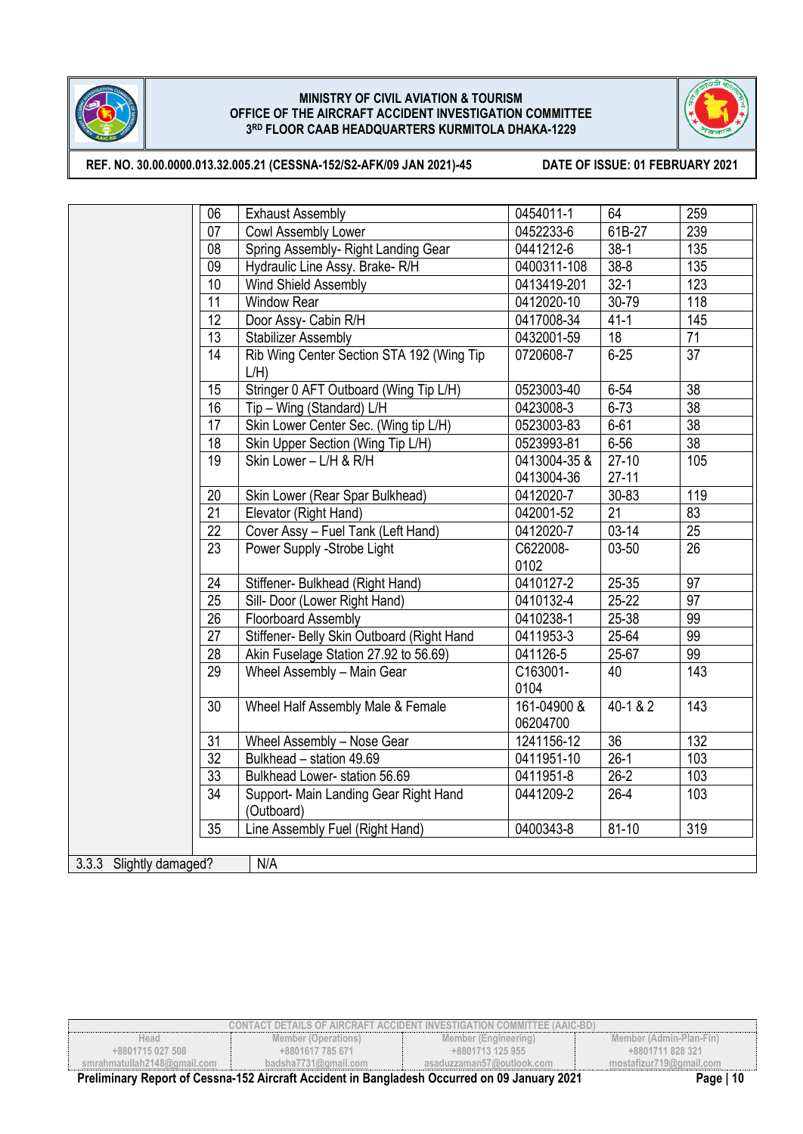



**REF. NO. 30.00.0000.013.32.005.21 (CESSNA-152/S2-AFK/09 JAN 2021)-45 DATE OF ISSUE: 01 FEBRUARY 2021**

|                                | 06              | <b>Exhaust Assembly</b>                              | 0454011-1               | 64        | 259             |
|--------------------------------|-----------------|------------------------------------------------------|-------------------------|-----------|-----------------|
|                                | 07              | Cowl Assembly Lower                                  | 0452233-6               | 61B-27    | 239             |
|                                | 08              | Spring Assembly- Right Landing Gear                  | 0441212-6               | $38-1$    | 135             |
|                                | 09              | Hydraulic Line Assy. Brake-R/H                       | 0400311-108             | $38 - 8$  | 135             |
|                                | 10              | Wind Shield Assembly                                 | 0413419-201             | $32 - 1$  | 123             |
|                                | 11              | <b>Window Rear</b>                                   | 0412020-10              | 30-79     | 118             |
|                                | 12              | Door Assy- Cabin R/H                                 | 0417008-34              | $41 - 1$  | 145             |
|                                | 13              | <b>Stabilizer Assembly</b>                           | 0432001-59              | 18        | 71              |
|                                | 14              | Rib Wing Center Section STA 192 (Wing Tip<br>$L/H$ ) | 0720608-7               | $6 - 25$  | $\overline{37}$ |
|                                | 15              | Stringer 0 AFT Outboard (Wing Tip L/H)               | 0523003-40              | $6 - 54$  | 38              |
|                                | 16              | Tip - Wing (Standard) L/H                            | 0423008-3               | $6 - 73$  | 38              |
|                                | 17              | Skin Lower Center Sec. (Wing tip L/H)                | 0523003-83              | $6 - 61$  | $\overline{38}$ |
|                                | 18              | Skin Upper Section (Wing Tip L/H)                    | 0523993-81              | $6 - 56$  | $\overline{38}$ |
|                                | 19              | Skin Lower - L/H & R/H                               | 0413004-35 &            | $27-10$   | 105             |
|                                |                 |                                                      | 0413004-36              | $27 - 11$ |                 |
|                                | 20              | Skin Lower (Rear Spar Bulkhead)                      | 0412020-7               | 30-83     | 119             |
|                                | 21              | Elevator (Right Hand)                                | 042001-52               | 21        | 83              |
|                                | $\overline{22}$ | Cover Assy - Fuel Tank (Left Hand)                   | 0412020-7               | $03-14$   | $\overline{25}$ |
|                                | $\overline{23}$ | Power Supply -Strobe Light                           | C622008-<br>0102        | 03-50     | $\overline{26}$ |
|                                | 24              | Stiffener- Bulkhead (Right Hand)                     | 0410127-2               | 25-35     | 97              |
|                                | 25              | Sill- Door (Lower Right Hand)                        | 0410132-4               | $25 - 22$ | 97              |
|                                | 26              | Floorboard Assembly                                  | 0410238-1               | 25-38     | 99              |
|                                | 27              | Stiffener- Belly Skin Outboard (Right Hand           | 0411953-3               | 25-64     | 99              |
|                                | 28              | Akin Fuselage Station 27.92 to 56.69)                | 041126-5                | 25-67     | 99              |
|                                | 29              | Wheel Assembly - Main Gear                           | C163001-<br>0104        | 40        | 143             |
|                                | 30              | Wheel Half Assembly Male & Female                    | 161-04900 &<br>06204700 | 40-1 & 2  | 143             |
|                                | 31              | Wheel Assembly - Nose Gear                           | 1241156-12              | 36        | 132             |
|                                | $\overline{32}$ | Bulkhead - station 49.69                             | 0411951-10              | $26-1$    | 103             |
|                                | 33              | Bulkhead Lower- station 56.69                        | 0411951-8               | $26-2$    | 103             |
|                                | 34              | Support- Main Landing Gear Right Hand<br>(Outboard)  | 0441209-2               | $26 - 4$  | 103             |
|                                | 35              | Line Assembly Fuel (Right Hand)                      | 0400343-8               | $81 - 10$ | 319             |
|                                |                 |                                                      |                         |           |                 |
| 3.3.3 Slightly damaged?<br>N/A |                 |                                                      |                         |           |                 |

| <b>CONTACT DETAILS OF AIRCRAFT ACCIDENT INVESTIGATION COMMITTEE (AAIC-BD)</b> |                                                                                              |                           |                         |  |
|-------------------------------------------------------------------------------|----------------------------------------------------------------------------------------------|---------------------------|-------------------------|--|
| Head                                                                          | Member (Operations)                                                                          | Member (Engineering)      | Member (Admin-Plan-Fin) |  |
| +8801715 027 508                                                              | +8801617 785 671                                                                             | +8801713 125 955          | +8801711 828 321        |  |
| smrahmatullah2148@qmail.com                                                   | badsha7731@amail.com                                                                         | asaduzzaman57@outlook.com | mostafizur719@gmail.com |  |
|                                                                               | Preliminary Report of Cessna-152 Aircraft Accident in Bangladesh Occurred on 09 January 2021 |                           | Page   $10$             |  |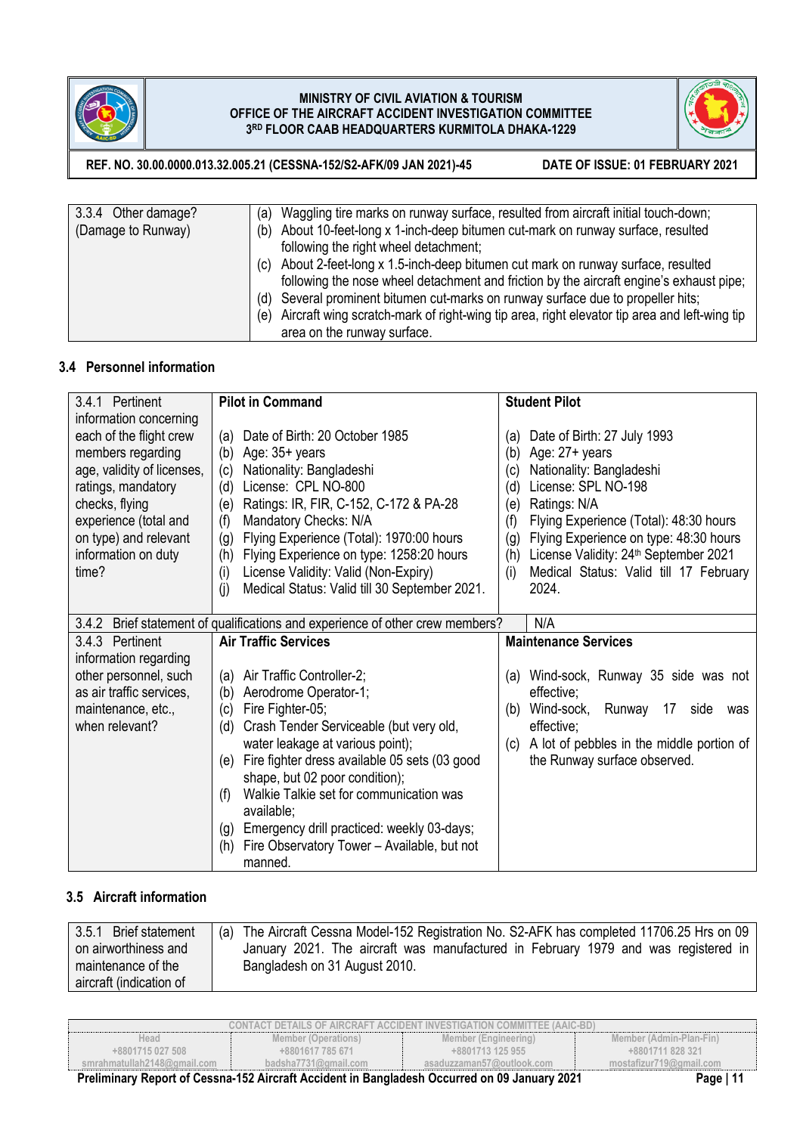



**REF. NO. 30.00.0000.013.32.005.21 (CESSNA-152/S2-AFK/09 JAN 2021)-45 DATE OF ISSUE: 01 FEBRUARY 2021**

| 3.3.4 Other damage? | (a) Waggling tire marks on runway surface, resulted from aircraft initial touch-down;            |
|---------------------|--------------------------------------------------------------------------------------------------|
| (Damage to Runway)  | (b) About 10-feet-long x 1-inch-deep bitumen cut-mark on runway surface, resulted                |
|                     | following the right wheel detachment;                                                            |
|                     | (c) About 2-feet-long x 1.5-inch-deep bitumen cut mark on runway surface, resulted               |
|                     | following the nose wheel detachment and friction by the aircraft engine's exhaust pipe;          |
|                     | (d) Several prominent bitumen cut-marks on runway surface due to propeller hits;                 |
|                     | (e) Aircraft wing scratch-mark of right-wing tip area, right elevator tip area and left-wing tip |
|                     | area on the runway surface.                                                                      |

### **3.4 Personnel information**

| 3.4.1 Pertinent            | <b>Pilot in Command</b>                                                 | <b>Student Pilot</b>                                     |
|----------------------------|-------------------------------------------------------------------------|----------------------------------------------------------|
| information concerning     |                                                                         |                                                          |
| each of the flight crew    | Date of Birth: 20 October 1985<br>(a)                                   | Date of Birth: 27 July 1993<br>(a)                       |
| members regarding          | Age: $35+$ years<br>(b)                                                 | Age: $27 + \text{years}$<br>(b)                          |
| age, validity of licenses, | Nationality: Bangladeshi<br>(c)                                         | Nationality: Bangladeshi<br>(c)                          |
| ratings, mandatory         | License: CPL NO-800<br>(d)                                              | License: SPL NO-198<br>(d)                               |
| checks, flying             | Ratings: IR, FIR, C-152, C-172 & PA-28<br>(e)                           | Ratings: N/A<br>(e)                                      |
| experience (total and      | Mandatory Checks: N/A<br>(f)                                            | Flying Experience (Total): 48:30 hours<br>(f)            |
| on type) and relevant      | Flying Experience (Total): 1970:00 hours<br>(g)                         | Flying Experience on type: 48:30 hours<br>(g)            |
| information on duty        | Flying Experience on type: 1258:20 hours<br>(h)                         | License Validity: 24 <sup>th</sup> September 2021<br>(h) |
| time?                      | License Validity: Valid (Non-Expiry)<br>(i)                             | Medical Status: Valid till 17 February<br>(i)            |
|                            | Medical Status: Valid till 30 September 2021.<br>(i)                    | 2024.                                                    |
|                            |                                                                         |                                                          |
| 3.4.2                      | Brief statement of qualifications and experience of other crew members? | N/A                                                      |
|                            |                                                                         |                                                          |
| 3.4.3 Pertinent            | <b>Air Traffic Services</b>                                             | <b>Maintenance Services</b>                              |
| information regarding      |                                                                         |                                                          |
| other personnel, such      | Air Traffic Controller-2;<br>(a)                                        | Wind-sock, Runway 35 side was not<br>(a)                 |
| as air traffic services,   | Aerodrome Operator-1;<br>(b)                                            | effective;                                               |
| maintenance, etc.,         | Fire Fighter-05;<br>(c)                                                 | Wind-sock,<br>Runway 17<br>side<br>(b)<br>was            |
| when relevant?             | Crash Tender Serviceable (but very old,<br>(d)                          | effective:                                               |
|                            | water leakage at various point);                                        | A lot of pebbles in the middle portion of<br>(c)         |
|                            | Fire fighter dress available 05 sets (03 good<br>(e)                    | the Runway surface observed.                             |
|                            | shape, but 02 poor condition);                                          |                                                          |
|                            | Walkie Talkie set for communication was<br>(f)                          |                                                          |
|                            | available;                                                              |                                                          |
|                            | Emergency drill practiced: weekly 03-days;<br>(g)                       |                                                          |
|                            | Fire Observatory Tower - Available, but not<br>(h)<br>manned.           |                                                          |

# **3.5 Aircraft information**

| 3.5.1<br><b>Brief statement</b> | (a) The Aircraft Cessna Model-152 Registration No. S2-AFK has completed 11706.25 Hrs on 09 |
|---------------------------------|--------------------------------------------------------------------------------------------|
| on airworthiness and            | January 2021. The aircraft was manufactured in February 1979 and was registered in         |
| maintenance of the              | Bangladesh on 31 August 2010.                                                              |
| aircraft (indication of         |                                                                                            |

| CONTACT DETAILS OF AIRCRAFT ACCIDENT INVESTIGATION COMMITTEE (AAIC-BD). |                                                                                                                                                                                                                                                                                                                                               |                           |                         |  |
|-------------------------------------------------------------------------|-----------------------------------------------------------------------------------------------------------------------------------------------------------------------------------------------------------------------------------------------------------------------------------------------------------------------------------------------|---------------------------|-------------------------|--|
| Head                                                                    | Member (Operations)                                                                                                                                                                                                                                                                                                                           | Member (Engineering)      | Member (Admin-Plan-Fin) |  |
| +8801715 027 508                                                        | +8801617 785 671                                                                                                                                                                                                                                                                                                                              | +8801713 125 955          | +8801711 828 321        |  |
| smrahmatullah2148@ɑmail.com                                             | badsha $7731$ @gmail.com                                                                                                                                                                                                                                                                                                                      | asaduzzaman57@outlook.com | mostafizur719@gmail.com |  |
| -<br>- - -                                                              | $\overline{a}$ . The set of $\overline{a}$ , $\overline{a}$ , $\overline{a}$ , $\overline{a}$ , $\overline{a}$ , $\overline{a}$ , $\overline{a}$ , $\overline{a}$ , $\overline{a}$ , $\overline{a}$ , $\overline{a}$ , $\overline{a}$ , $\overline{a}$ , $\overline{a}$ , $\overline{a}$ , $\overline{a}$ , $\overline{a}$ , $\overline{a}$ , | $- - - -$<br>.            |                         |  |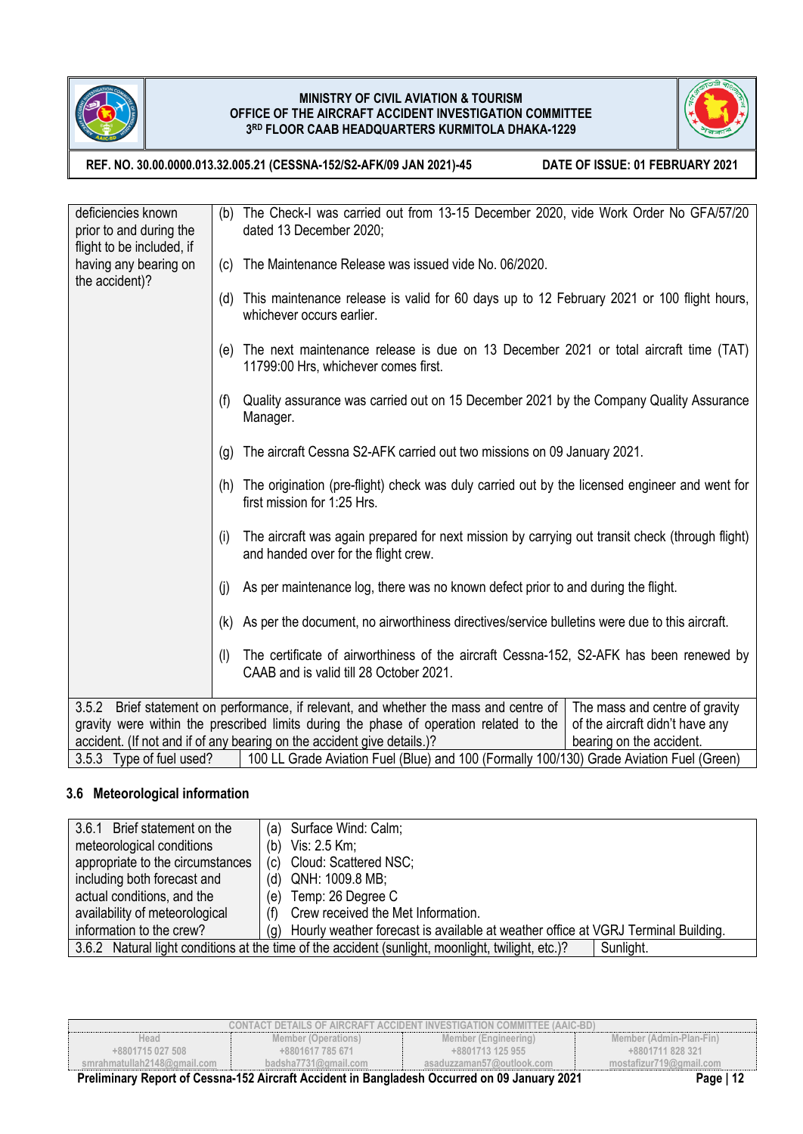



**REF. NO. 30.00.0000.013.32.005.21 (CESSNA-152/S2-AFK/09 JAN 2021)-45 DATE OF ISSUE: 01 FEBRUARY 2021**

| deficiencies known<br>prior to and during the                                                       | (b) | The Check-I was carried out from 13-15 December 2020, vide Work Order No GFA/57/20<br>dated 13 December 2020;                           |                                 |  |  |
|-----------------------------------------------------------------------------------------------------|-----|-----------------------------------------------------------------------------------------------------------------------------------------|---------------------------------|--|--|
| flight to be included, if<br>having any bearing on<br>the accident)?                                | (c) | The Maintenance Release was issued vide No. 06/2020.                                                                                    |                                 |  |  |
|                                                                                                     | (d) | This maintenance release is valid for 60 days up to 12 February 2021 or 100 flight hours,<br>whichever occurs earlier.                  |                                 |  |  |
|                                                                                                     | (e) | The next maintenance release is due on 13 December 2021 or total aircraft time (TAT)<br>11799:00 Hrs, whichever comes first.            |                                 |  |  |
|                                                                                                     | (f) | Quality assurance was carried out on 15 December 2021 by the Company Quality Assurance<br>Manager.                                      |                                 |  |  |
|                                                                                                     | (g) | The aircraft Cessna S2-AFK carried out two missions on 09 January 2021.                                                                 |                                 |  |  |
|                                                                                                     | (h) | The origination (pre-flight) check was duly carried out by the licensed engineer and went for<br>first mission for 1:25 Hrs.            |                                 |  |  |
|                                                                                                     | (i) | The aircraft was again prepared for next mission by carrying out transit check (through flight)<br>and handed over for the flight crew. |                                 |  |  |
|                                                                                                     | (i) | As per maintenance log, there was no known defect prior to and during the flight.                                                       |                                 |  |  |
|                                                                                                     | (k) | As per the document, no airworthiness directives/service bulletins were due to this aircraft.                                           |                                 |  |  |
|                                                                                                     | (1) | The certificate of airworthiness of the aircraft Cessna-152, S2-AFK has been renewed by<br>CAAB and is valid till 28 October 2021.      |                                 |  |  |
| 3.5.2                                                                                               |     | Brief statement on performance, if relevant, and whether the mass and centre of                                                         | The mass and centre of gravity  |  |  |
| gravity were within the prescribed limits during the phase of operation related to the              |     |                                                                                                                                         | of the aircraft didn't have any |  |  |
| accident. (If not and if of any bearing on the accident give details.)?<br>bearing on the accident. |     |                                                                                                                                         |                                 |  |  |
|                                                                                                     |     | 3.5.3 Type of fuel used?   100 LL Grade Aviation Fuel (Blue) and 100 (Formally 100/130) Grade Aviation Fuel (Green)                     |                                 |  |  |

# **3.6 Meteorological information**

| 3.6.1 Brief statement on the                                                                                   | Surface Wind: Calm;<br>(a)                                                               |  |
|----------------------------------------------------------------------------------------------------------------|------------------------------------------------------------------------------------------|--|
| meteorological conditions                                                                                      | Vis: 2.5 Km;<br>(b)                                                                      |  |
| appropriate to the circumstances                                                                               | Cloud: Scattered NSC;<br>(c)                                                             |  |
| including both forecast and                                                                                    | QNH: 1009.8 MB;<br>(d)                                                                   |  |
| actual conditions, and the                                                                                     | Temp: 26 Degree C<br>(e)                                                                 |  |
| availability of meteorological                                                                                 | Crew received the Met Information.<br>(f)                                                |  |
| information to the crew?                                                                                       | Hourly weather forecast is available at weather office at VGRJ Terminal Building.<br>(q) |  |
| 3.6.2 Natural light conditions at the time of the accident (sunlight, moonlight, twilight, etc.)?<br>Sunlight. |                                                                                          |  |

|                              |                      | CONTACT DETAILS OF AIRCRAFT ACCIDENT INVESTIGATION COMMITTEE (AAIC-BD).                       |                         |
|------------------------------|----------------------|-----------------------------------------------------------------------------------------------|-------------------------|
| Head                         | Member (Operations)  | Member (Engineering)                                                                          | Member (Admin-Plan-Fin) |
| $+8801715027508$             | +8801617 785 671     | +8801713 125 955                                                                              | +8801711 828 321        |
| smrahmatullah2148@ɑmail.com_ | badsha7731@amail.com | asaduzzaman57@outlook.com                                                                     | mostafizur719@gmail.com |
|                              |                      | Dreliminary Denart of Coopee 152 Aireraft Acaident in Denalogieah Occurred on 00 January 2021 | <b>Dogs</b> 142         |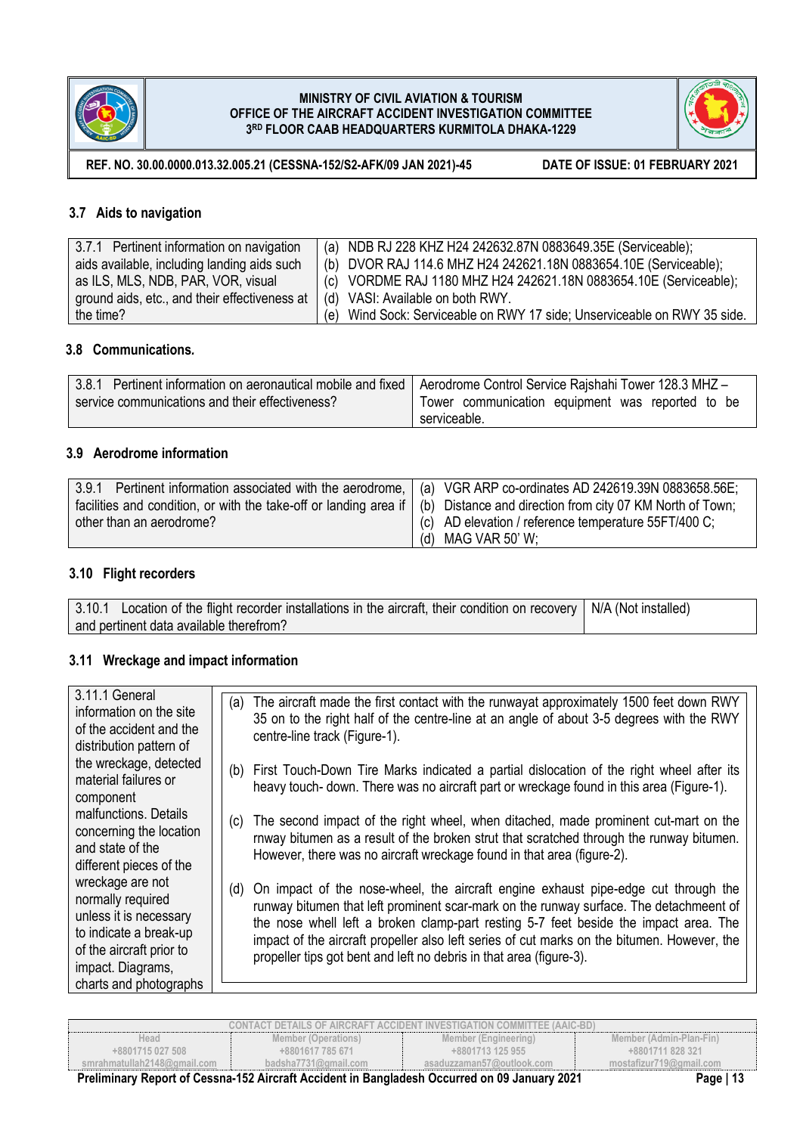



**REF. NO. 30.00.0000.013.32.005.21 (CESSNA-152/S2-AFK/09 JAN 2021)-45 DATE OF ISSUE: 01 FEBRUARY 2021**

## **3.7 Aids to navigation**

| 3.7.1 Pertinent information on navigation     | (a) NDB RJ 228 KHZ H24 242632.87N 0883649.35E (Serviceable);             |
|-----------------------------------------------|--------------------------------------------------------------------------|
| aids available, including landing aids such   | (b) DVOR RAJ 114.6 MHZ H24 242621.18N 0883654.10E (Serviceable);         |
| as ILS, MLS, NDB, PAR, VOR, visual            | (c) VORDME RAJ 1180 MHZ H24 242621.18N 0883654.10E (Serviceable);        |
| ground aids, etc., and their effectiveness at | (d) VASI: Available on both RWY.                                         |
| the time?                                     | (e) Wind Sock: Serviceable on RWY 17 side; Unserviceable on RWY 35 side. |

# **3.8 Communications***.*

| 3.8.1 Pertinent information on aeronautical mobile and fixed   Aerodrome Control Service Rajshahi Tower 128.3 MHZ- |                                                  |
|--------------------------------------------------------------------------------------------------------------------|--------------------------------------------------|
| service communications and their effectiveness?                                                                    | Tower communication equipment was reported to be |
|                                                                                                                    | serviceable.                                     |

## **3.9 Aerodrome information**

| 3.9.1 Pertinent information associated with the aerodrome,   (a) VGR ARP co-ordinates AD 242619.39N 0883658.56E;            |                                                               |
|-----------------------------------------------------------------------------------------------------------------------------|---------------------------------------------------------------|
| facilities and condition, or with the take-off or landing area if (b) Distance and direction from city 07 KM North of Town; |                                                               |
| other than an aerodrome?                                                                                                    | $\left($ (c) AD elevation / reference temperature 55FT/400 C; |
|                                                                                                                             | (d) MAG VAR 50' W;                                            |

### **3.10 Flight recorders**

| 3.10.1 Location of the flight recorder installations in the aircraft, their condition on recovery   N/A (Not installed) |  |
|-------------------------------------------------------------------------------------------------------------------------|--|
| and pertinent data available therefrom?                                                                                 |  |

## **3.11 Wreckage and impact information**

| The aircraft made the first contact with the runwayat approximately 1500 feet down RWY<br>35 on to the right half of the centre-line at an angle of about 3-5 degrees with the RWY<br>centre-line track (Figure-1).                                                                                                                                                                                                                        |
|--------------------------------------------------------------------------------------------------------------------------------------------------------------------------------------------------------------------------------------------------------------------------------------------------------------------------------------------------------------------------------------------------------------------------------------------|
| (b) First Touch-Down Tire Marks indicated a partial dislocation of the right wheel after its<br>heavy touch- down. There was no aircraft part or wreckage found in this area (Figure-1).                                                                                                                                                                                                                                                   |
| The second impact of the right wheel, when ditached, made prominent cut-mart on the<br>rnway bitumen as a result of the broken strut that scratched through the runway bitumen.<br>However, there was no aircraft wreckage found in that area (figure-2).                                                                                                                                                                                  |
| On impact of the nose-wheel, the aircraft engine exhaust pipe-edge cut through the<br>runway bitumen that left prominent scar-mark on the runway surface. The detachmeent of<br>the nose whell left a broken clamp-part resting 5-7 feet beside the impact area. The<br>impact of the aircraft propeller also left series of cut marks on the bitumen. However, the<br>propeller tips got bent and left no debris in that area (figure-3). |
| (a)<br>(c)<br>(d)                                                                                                                                                                                                                                                                                                                                                                                                                          |

| CONTACT DETAILS OF AIRCRAFT ACCIDENT INVESTIGATION COMMITTEE (AAIC-BD). |                          |                           |                         |
|-------------------------------------------------------------------------|--------------------------|---------------------------|-------------------------|
| Head                                                                    | Member (Operations)      | Member (Engineering)      | Member (Admin-Plan-Fin) |
| +8801715 027 508                                                        | +8801617 785 671         | +8801713 125 955          | +8801711 828 321        |
| smrahmatullah2148@qmail.com                                             | badsha $7731$ @gmail.com | asaduzzaman57@outlook.com | mostafizur719@gmail.com |
|                                                                         |                          |                           | <b>PUBLIC</b>           |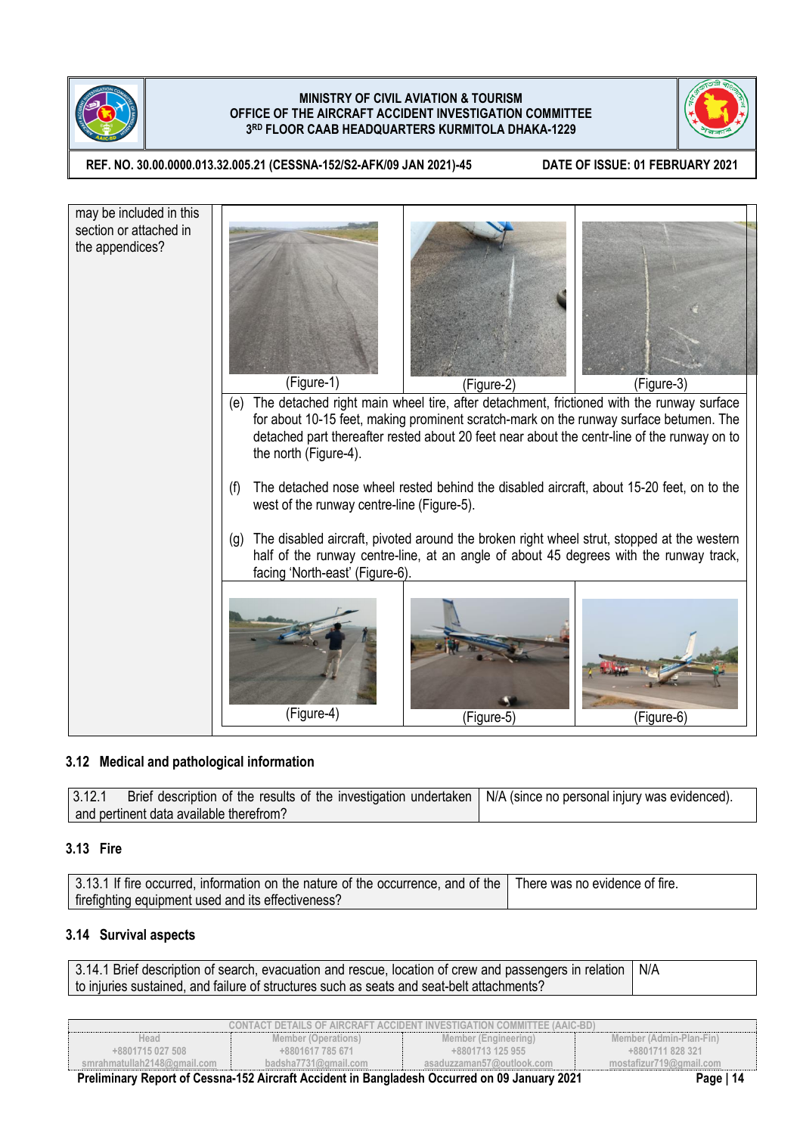



**REF. NO. 30.00.0000.013.32.005.21 (CESSNA-152/S2-AFK/09 JAN 2021)-45 DATE OF ISSUE: 01 FEBRUARY 2021**



## **3.12 Medical and pathological information**

3.12.1 Brief description of the results of the investigation undertaken and pertinent data available therefrom? N/A (since no personal injury was evidenced).

## **3.13 Fire**

| 3.13.1 If fire occurred, information on the nature of the occurrence, and of the There was no evidence of fire. |  |
|-----------------------------------------------------------------------------------------------------------------|--|
| firefighting equipment used and its effectiveness?                                                              |  |

## **3.14 Survival aspects**

3.14.1 Brief description of search, evacuation and rescue, location of crew and passengers in relation to injuries sustained, and failure of structures such as seats and seat-belt attachments? N/A

|                             |                          | CONTACT DETAILS OF AIRCRAFT ACCIDENT INVESTIGATION COMMITTEE (AAIC-BD).                            |                         |
|-----------------------------|--------------------------|----------------------------------------------------------------------------------------------------|-------------------------|
| Head                        | Member (Operations)      | Member (Engineering)                                                                               | Member (Admin-Plan-Fin) |
| +8801715 027 508            | +8801617 785 671         | +8801713 125 955                                                                                   | +8801711 828 321        |
| smrahmatullah2148@qmail.com | badsha $7731$ @gmail.com | asaduzzaman57@outlook.com                                                                          | mostafizur719@gmail.com |
|                             |                          | Durlington Dr. David of Orrange 450 Almonth Arabitant in David also be Orranged an AO Langeme 0004 | <b>B</b> 144            |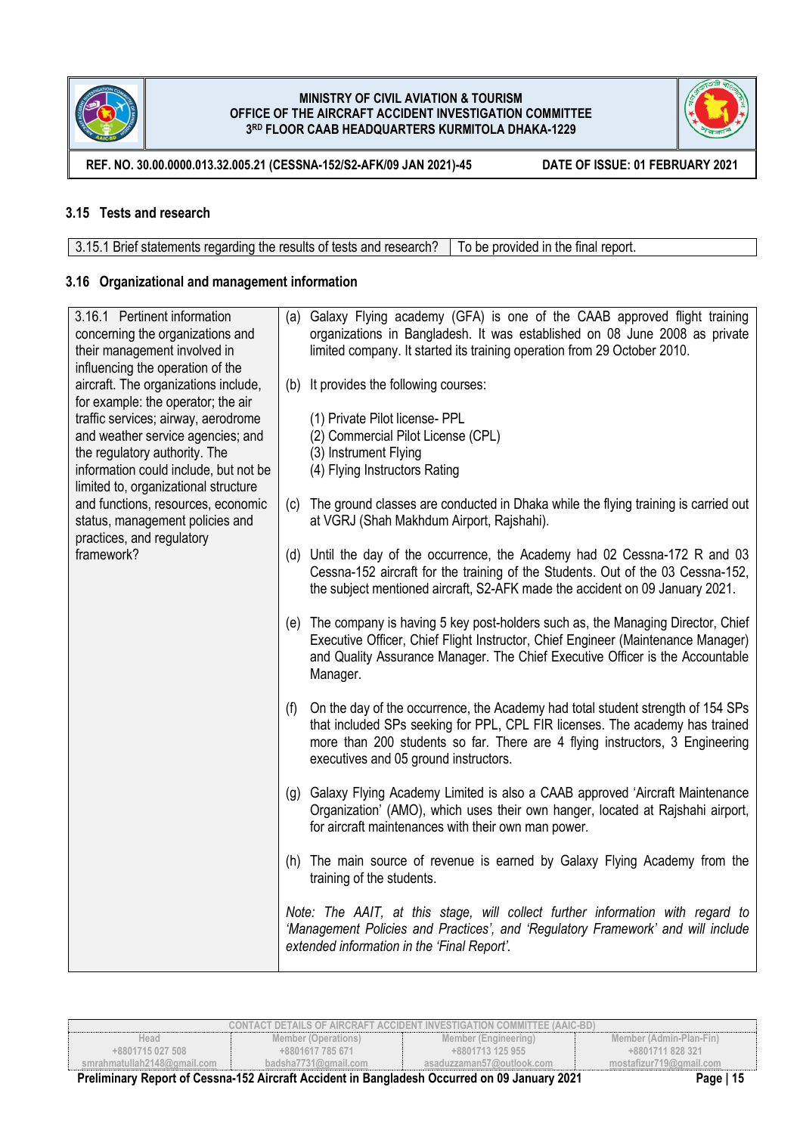



**REF. NO. 30.00.0000.013.32.005.21 (CESSNA-152/S2-AFK/09 JAN 2021)-45 DATE OF ISSUE: 01 FEBRUARY 2021**

## **3.15 Tests and research**

3.15.1 Brief statements regarding the results of tests and research? To be provided in the final report.

## **3.16 Organizational and management information**

| 3.16.1 Pertinent information<br>concerning the organizations and<br>their management involved in<br>influencing the operation of the                                                       |     | (a) Galaxy Flying academy (GFA) is one of the CAAB approved flight training<br>organizations in Bangladesh. It was established on 08 June 2008 as private<br>limited company. It started its training operation from 29 October 2010.                                                    |
|--------------------------------------------------------------------------------------------------------------------------------------------------------------------------------------------|-----|------------------------------------------------------------------------------------------------------------------------------------------------------------------------------------------------------------------------------------------------------------------------------------------|
| aircraft. The organizations include,<br>for example: the operator; the air                                                                                                                 |     | (b) It provides the following courses:                                                                                                                                                                                                                                                   |
| traffic services; airway, aerodrome<br>and weather service agencies; and<br>the regulatory authority. The<br>information could include, but not be<br>limited to, organizational structure |     | (1) Private Pilot license- PPL<br>(2) Commercial Pilot License (CPL)<br>(3) Instrument Flying<br>(4) Flying Instructors Rating                                                                                                                                                           |
| and functions, resources, economic<br>status, management policies and<br>practices, and regulatory                                                                                         | (c) | The ground classes are conducted in Dhaka while the flying training is carried out<br>at VGRJ (Shah Makhdum Airport, Rajshahi).                                                                                                                                                          |
| framework?                                                                                                                                                                                 |     | (d) Until the day of the occurrence, the Academy had 02 Cessna-172 R and 03<br>Cessna-152 aircraft for the training of the Students. Out of the 03 Cessna-152,<br>the subject mentioned aircraft, S2-AFK made the accident on 09 January 2021.                                           |
|                                                                                                                                                                                            |     | (e) The company is having 5 key post-holders such as, the Managing Director, Chief<br>Executive Officer, Chief Flight Instructor, Chief Engineer (Maintenance Manager)<br>and Quality Assurance Manager. The Chief Executive Officer is the Accountable<br>Manager.                      |
|                                                                                                                                                                                            | (f) | On the day of the occurrence, the Academy had total student strength of 154 SPs<br>that included SPs seeking for PPL, CPL FIR licenses. The academy has trained<br>more than 200 students so far. There are 4 flying instructors, 3 Engineering<br>executives and 05 ground instructors. |
|                                                                                                                                                                                            |     | (g) Galaxy Flying Academy Limited is also a CAAB approved 'Aircraft Maintenance<br>Organization' (AMO), which uses their own hanger, located at Rajshahi airport,<br>for aircraft maintenances with their own man power.                                                                 |
|                                                                                                                                                                                            |     | (h) The main source of revenue is earned by Galaxy Flying Academy from the<br>training of the students.                                                                                                                                                                                  |
|                                                                                                                                                                                            |     | Note: The AAIT, at this stage, will collect further information with regard to<br>'Management Policies and Practices', and 'Regulatory Framework' and will include<br>extended information in the 'Final Report'.                                                                        |

|                             |                      | CONTACT DETAILS OF AIRCRAFT ACCIDENT INVESTIGATION COMMITTEE (AAIC-BD)                       |                         |
|-----------------------------|----------------------|----------------------------------------------------------------------------------------------|-------------------------|
| Head                        | Member (Operations)  | Member (Engineering)                                                                         | Member (Admin-Plan-Fin) |
| +8801715 027 508            | +8801617 785 671     | $+8801713125955$                                                                             | +8801711 828 321        |
| smrahmatullah2148@gmail.com | badsha7731@gmail.com | asaduzzaman57@outlook.com                                                                    | mostafizur719@gmail.com |
|                             |                      | Ductionary Depart of Concret 450 Aircraft Angletetin Departments Occurred on 00 January 2004 | $D = 4E$                |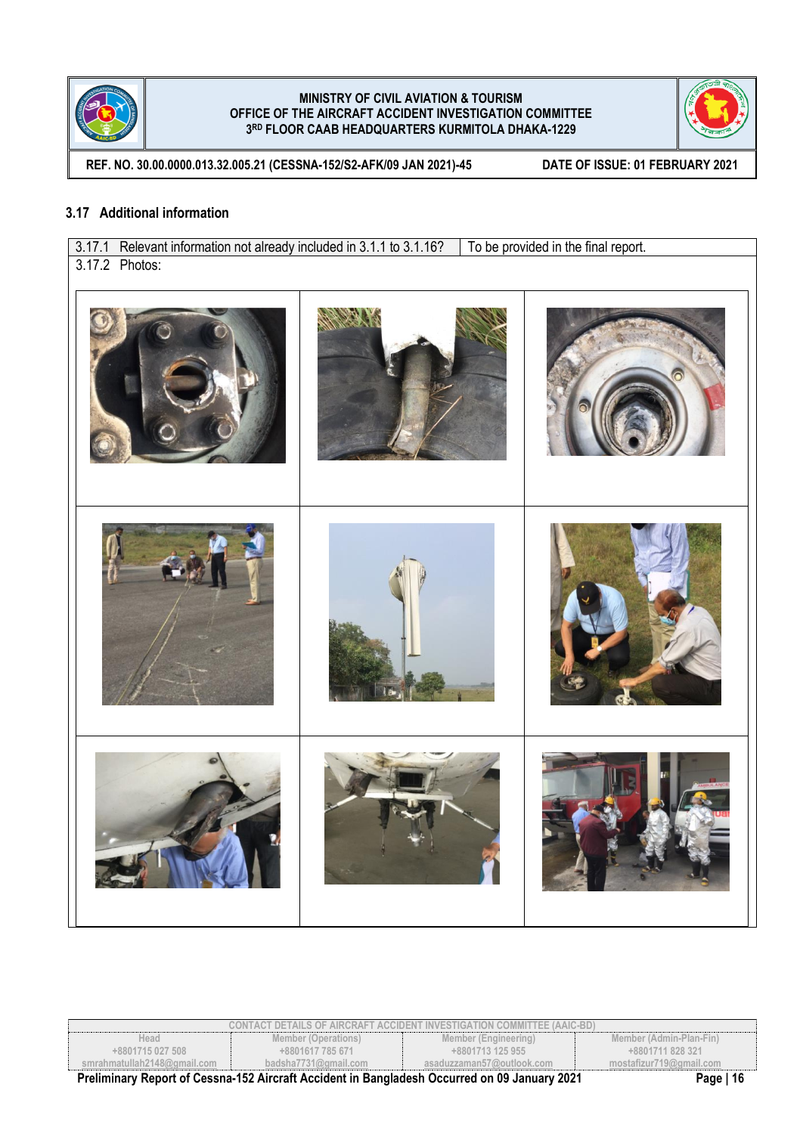



**REF. NO. 30.00.0000.013.32.005.21 (CESSNA-152/S2-AFK/09 JAN 2021)-45 DATE OF ISSUE: 01 FEBRUARY 2021**

## **3.17 Additional information**

3.17.1 Relevant information not already included in 3.1.1 to 3.1.16? To be provided in the final report. 3.17.2 Photos:

| CONTACT DETAILS OF AIRCRAFT ACCIDENT INVESTIGATION COMMITTEE (AAIC-BD)                       |                      |                           |                         |  |
|----------------------------------------------------------------------------------------------|----------------------|---------------------------|-------------------------|--|
| Head                                                                                         | Member (Operations)  | Member (Engineering)      | Member (Admin-Plan-Fin) |  |
| $+8801715027508$                                                                             | +8801617 785 671     | +8801713 125 955          | +8801711 828 321        |  |
| smrahmatullah2148@qmail.com                                                                  | badsha7731@gmail.com | asaduzzaman57@outlook.com | mostafizur719@gmail.com |  |
| Preliminary Report of Cessna-152 Aircraft Accident in Bangladesh Occurred on 09 January 2021 | Page   16            |                           |                         |  |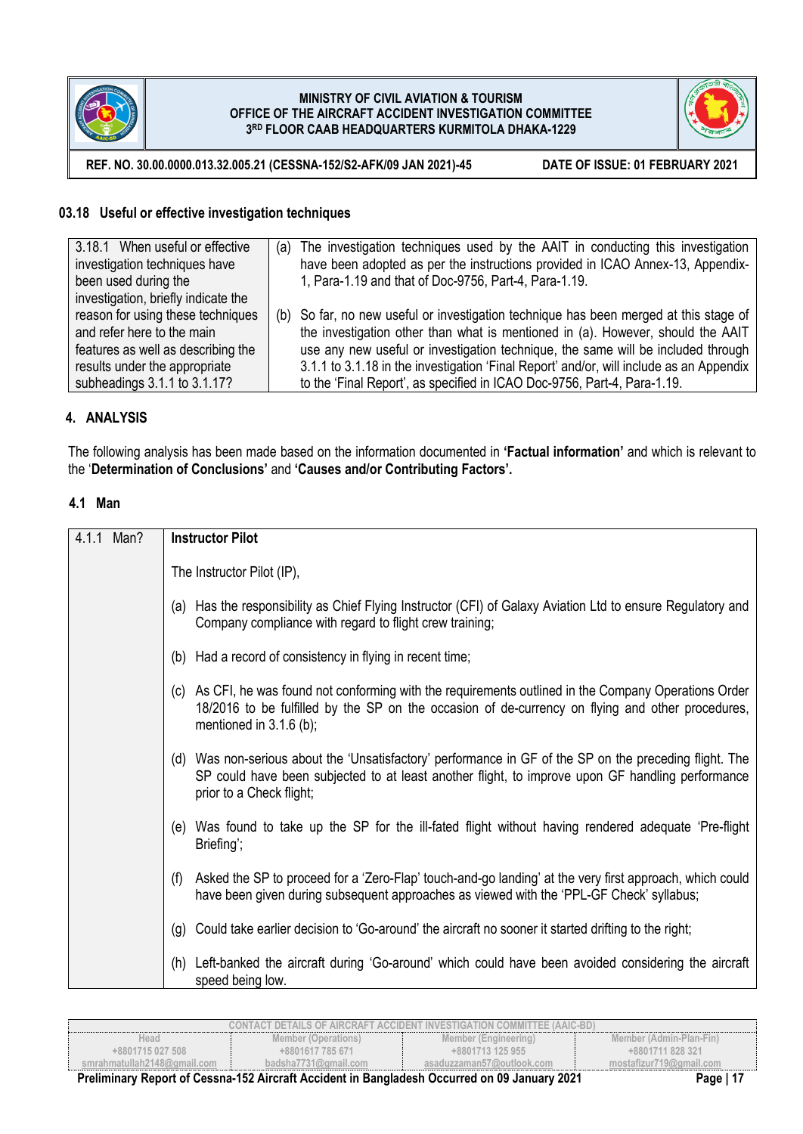



**REF. NO. 30.00.0000.013.32.005.21 (CESSNA-152/S2-AFK/09 JAN 2021)-45 DATE OF ISSUE: 01 FEBRUARY 2021**

## **03.18 Useful or effective investigation techniques**

| 3.18.1 When useful or effective     | (a) The investigation techniques used by the AAIT in conducting this investigation      |
|-------------------------------------|-----------------------------------------------------------------------------------------|
| investigation techniques have       | have been adopted as per the instructions provided in ICAO Annex-13, Appendix-          |
| been used during the                | 1, Para-1.19 and that of Doc-9756, Part-4, Para-1.19.                                   |
| investigation, briefly indicate the |                                                                                         |
| reason for using these techniques   | (b) So far, no new useful or investigation technique has been merged at this stage of   |
| and refer here to the main          | the investigation other than what is mentioned in (a). However, should the AAIT         |
| features as well as describing the  | use any new useful or investigation technique, the same will be included through        |
| results under the appropriate       | 3.1.1 to 3.1.18 in the investigation 'Final Report' and/or, will include as an Appendix |
| subheadings 3.1.1 to 3.1.17?        | to the 'Final Report', as specified in ICAO Doc-9756, Part-4, Para-1.19.                |

## **4. ANALYSIS**

The following analysis has been made based on the information documented in **'Factual information'** and which is relevant to the '**Determination of Conclusions'** and **'Causes and/or Contributing Factors'.**

## **4.1 Man**

| Man?<br>4.1.1 | <b>Instructor Pilot</b>                                                                                                                                                                                                                 |
|---------------|-----------------------------------------------------------------------------------------------------------------------------------------------------------------------------------------------------------------------------------------|
|               | The Instructor Pilot (IP),                                                                                                                                                                                                              |
|               | (a) Has the responsibility as Chief Flying Instructor (CFI) of Galaxy Aviation Ltd to ensure Regulatory and<br>Company compliance with regard to flight crew training;                                                                  |
|               | (b) Had a record of consistency in flying in recent time;                                                                                                                                                                               |
|               | (c) As CFI, he was found not conforming with the requirements outlined in the Company Operations Order<br>18/2016 to be fulfilled by the SP on the occasion of de-currency on flying and other procedures,<br>mentioned in $3.1.6$ (b); |
|               | (d) Was non-serious about the 'Unsatisfactory' performance in GF of the SP on the preceding flight. The<br>SP could have been subjected to at least another flight, to improve upon GF handling performance<br>prior to a Check flight; |
|               | (e) Was found to take up the SP for the ill-fated flight without having rendered adequate 'Pre-flight<br>Briefing';                                                                                                                     |
|               | Asked the SP to proceed for a 'Zero-Flap' touch-and-go landing' at the very first approach, which could<br>(f)<br>have been given during subsequent approaches as viewed with the 'PPL-GF Check' syllabus;                              |
|               | (g) Could take earlier decision to 'Go-around' the aircraft no sooner it started drifting to the right;                                                                                                                                 |
|               | (h) Left-banked the aircraft during 'Go-around' which could have been avoided considering the aircraft<br>speed being low.                                                                                                              |

|                             |                      | CONTACT DETAILS OF AIRCRAFT ACCIDENT INVESTIGATION COMMITTEE (AAIC-BD). |                         |
|-----------------------------|----------------------|-------------------------------------------------------------------------|-------------------------|
| Head                        | Member (Operations)  | Member (Engineering)                                                    | Member (Admin-Plan-Fin) |
| +8801715 027 508            | +8801617 785 671     | +8801713 125 955                                                        | +8801711 828 321        |
| smrahmatullah2148@ɑmail.com | badsha7731@gmail.com | asaduzzaman57@outlook.com                                               | mostafizur719@gmail.com |
| .<br>_ _ _<br>$\sim$        | .<br>.               | .<br>---<br>----                                                        | .                       |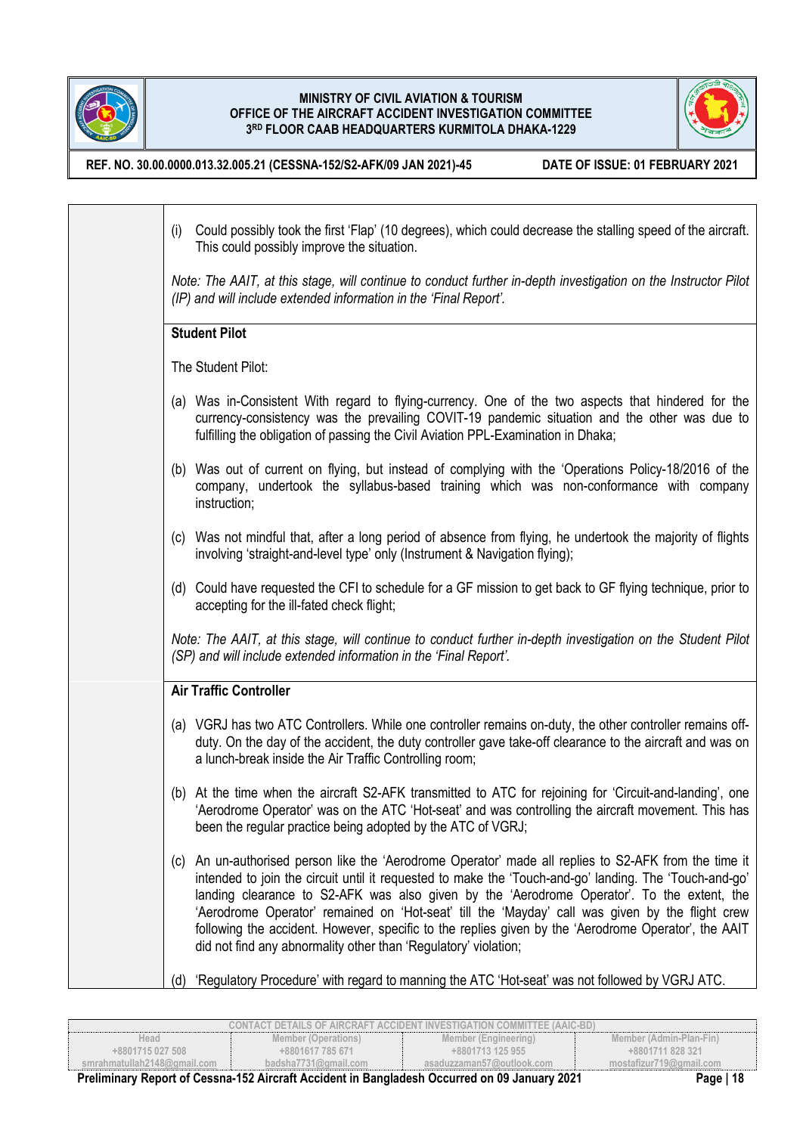

H

### **MINISTRY OF CIVIL AVIATION & TOURISM OFFICE OF THE AIRCRAFT ACCIDENT INVESTIGATION COMMITTEE 3 RD FLOOR CAAB HEADQUARTERS KURMITOLA DHAKA-1229**



**REF. NO. 30.00.0000.013.32.005.21 (CESSNA-152/S2-AFK/09 JAN 2021)-45 DATE OF ISSUE: 01 FEBRUARY 2021**

| (i) | Could possibly took the first 'Flap' (10 degrees), which could decrease the stalling speed of the aircraft.<br>This could possibly improve the situation.                                                                                                                                                                                                                                                                                                                                                                                                                                   |
|-----|---------------------------------------------------------------------------------------------------------------------------------------------------------------------------------------------------------------------------------------------------------------------------------------------------------------------------------------------------------------------------------------------------------------------------------------------------------------------------------------------------------------------------------------------------------------------------------------------|
|     | Note: The AAIT, at this stage, will continue to conduct further in-depth investigation on the Instructor Pilot<br>(IP) and will include extended information in the 'Final Report'.                                                                                                                                                                                                                                                                                                                                                                                                         |
|     | <b>Student Pilot</b>                                                                                                                                                                                                                                                                                                                                                                                                                                                                                                                                                                        |
|     | The Student Pilot:                                                                                                                                                                                                                                                                                                                                                                                                                                                                                                                                                                          |
|     | (a) Was in-Consistent With regard to flying-currency. One of the two aspects that hindered for the<br>currency-consistency was the prevailing COVIT-19 pandemic situation and the other was due to<br>fulfilling the obligation of passing the Civil Aviation PPL-Examination in Dhaka;                                                                                                                                                                                                                                                                                                     |
|     | (b) Was out of current on flying, but instead of complying with the 'Operations Policy-18/2016 of the<br>company, undertook the syllabus-based training which was non-conformance with company<br>instruction;                                                                                                                                                                                                                                                                                                                                                                              |
|     | (c) Was not mindful that, after a long period of absence from flying, he undertook the majority of flights<br>involving 'straight-and-level type' only (Instrument & Navigation flying);                                                                                                                                                                                                                                                                                                                                                                                                    |
|     | (d) Could have requested the CFI to schedule for a GF mission to get back to GF flying technique, prior to<br>accepting for the ill-fated check flight;                                                                                                                                                                                                                                                                                                                                                                                                                                     |
|     | Note: The AAIT, at this stage, will continue to conduct further in-depth investigation on the Student Pilot<br>(SP) and will include extended information in the 'Final Report'.                                                                                                                                                                                                                                                                                                                                                                                                            |
|     | <b>Air Traffic Controller</b>                                                                                                                                                                                                                                                                                                                                                                                                                                                                                                                                                               |
|     | (a) VGRJ has two ATC Controllers. While one controller remains on-duty, the other controller remains off-<br>duty. On the day of the accident, the duty controller gave take-off clearance to the aircraft and was on<br>a lunch-break inside the Air Traffic Controlling room;                                                                                                                                                                                                                                                                                                             |
|     | (b) At the time when the aircraft S2-AFK transmitted to ATC for rejoining for 'Circuit-and-landing', one<br>'Aerodrome Operator' was on the ATC 'Hot-seat' and was controlling the aircraft movement. This has<br>been the regular practice being adopted by the ATC of VGRJ;                                                                                                                                                                                                                                                                                                               |
|     | (c) An un-authorised person like the 'Aerodrome Operator' made all replies to S2-AFK from the time it<br>intended to join the circuit until it requested to make the 'Touch-and-go' landing. The 'Touch-and-go'<br>landing clearance to S2-AFK was also given by the 'Aerodrome Operator'. To the extent, the<br>'Aerodrome Operator' remained on 'Hot-seat' till the 'Mayday' call was given by the flight crew<br>following the accident. However, specific to the replies given by the 'Aerodrome Operator', the AAIT<br>did not find any abnormality other than 'Regulatory' violation; |
| (d) | 'Regulatory Procedure' with regard to manning the ATC 'Hot-seat' was not followed by VGRJ ATC.                                                                                                                                                                                                                                                                                                                                                                                                                                                                                              |

|                             |                      | CONTACT DETAILS OF AIRCRAFT ACCIDENT INVESTIGATION COMMITTEE (AAIC-BD). |                          |
|-----------------------------|----------------------|-------------------------------------------------------------------------|--------------------------|
| Head                        | Member (Operations)  | Member (Engineering)                                                    | Member (Admin-Plan-Fin)  |
| +8801715 027 508            | +8801617 785 671     | +8801713 125 955                                                        | +8801711828321           |
| smrahmatullah2148@gmail.com | badsha7731@amail.com | asaduzzaman57@outlook.com                                               | mostafizur719@gmail.com  |
| - - -<br>.                  | $\cdots$<br>.        | $- - - -$                                                               | $\overline{\phantom{a}}$ |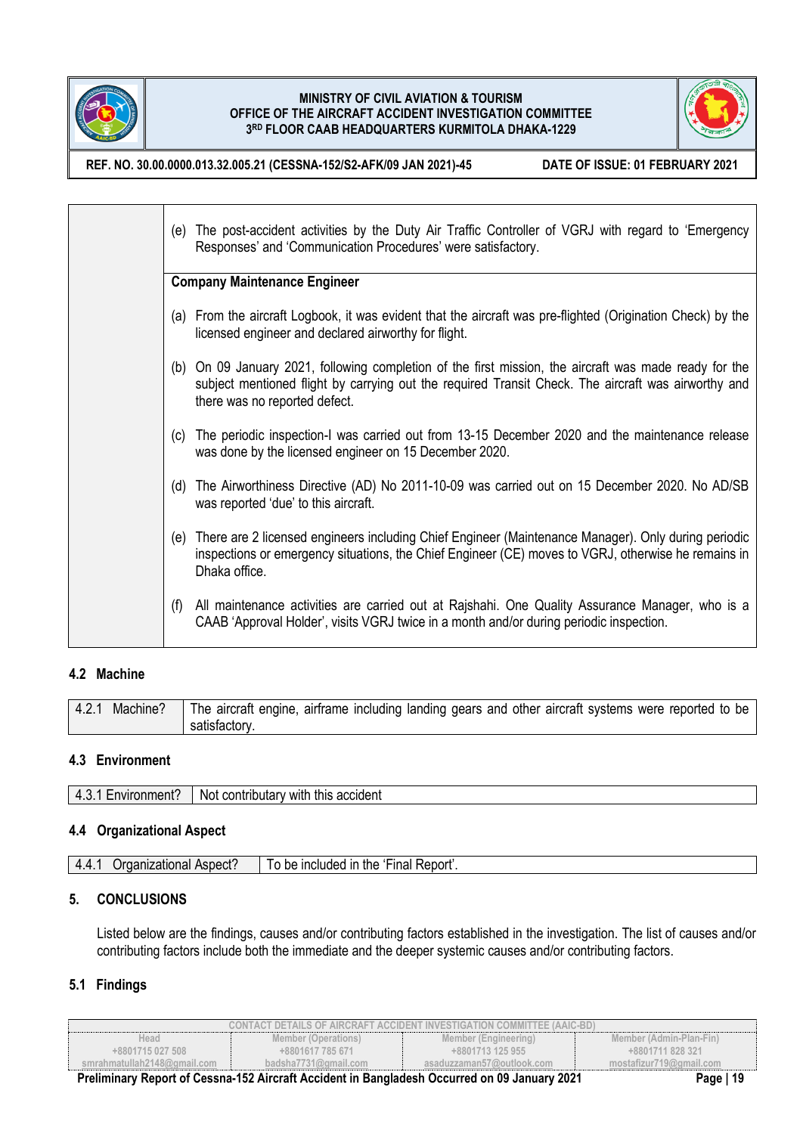



**REF. NO. 30.00.0000.013.32.005.21 (CESSNA-152/S2-AFK/09 JAN 2021)-45 DATE OF ISSUE: 01 FEBRUARY 2021**

| (e) The post-accident activities by the Duty Air Traffic Controller of VGRJ with regard to 'Emergency<br>Responses' and 'Communication Procedures' were satisfactory.                                                                          |
|------------------------------------------------------------------------------------------------------------------------------------------------------------------------------------------------------------------------------------------------|
| <b>Company Maintenance Engineer</b>                                                                                                                                                                                                            |
| (a) From the aircraft Logbook, it was evident that the aircraft was pre-flighted (Origination Check) by the<br>licensed engineer and declared airworthy for flight.                                                                            |
| (b) On 09 January 2021, following completion of the first mission, the aircraft was made ready for the<br>subject mentioned flight by carrying out the required Transit Check. The aircraft was airworthy and<br>there was no reported defect. |
| (c) The periodic inspection-I was carried out from 13-15 December 2020 and the maintenance release<br>was done by the licensed engineer on 15 December 2020.                                                                                   |
| (d) The Airworthiness Directive (AD) No 2011-10-09 was carried out on 15 December 2020. No AD/SB<br>was reported 'due' to this aircraft.                                                                                                       |
| (e) There are 2 licensed engineers including Chief Engineer (Maintenance Manager). Only during periodic<br>inspections or emergency situations, the Chief Engineer (CE) moves to VGRJ, otherwise he remains in<br>Dhaka office.                |
| All maintenance activities are carried out at Rajshahi. One Quality Assurance Manager, who is a<br>(t)<br>CAAB 'Approval Holder', visits VGRJ twice in a month and/or during periodic inspection.                                              |

# **4.2 Machine**

| 4.2.1<br>Machine? | The aircraft engine, airframe including landing gears and other aircraft systems were reported to be |
|-------------------|------------------------------------------------------------------------------------------------------|
|                   | satisfactory.                                                                                        |

## **4.3 Environment**

| :nvironment <sup>.</sup><br>$\prime$ | .<br><br>this<br>accident<br>contributary<br>with<br>Not. |
|--------------------------------------|-----------------------------------------------------------|

## **4.4 Organizational Aspect**

| Aspect?<br>⊧the<br>44<br>: Report .<br>Fınal<br>. praanizational<br>⊧ included in<br>be<br>. |  |  |
|----------------------------------------------------------------------------------------------|--|--|
|----------------------------------------------------------------------------------------------|--|--|

## **5. CONCLUSIONS**

Listed below are the findings, causes and/or contributing factors established in the investigation. The list of causes and/or contributing factors include both the immediate and the deeper systemic causes and/or contributing factors.

## **5.1 Findings**

|                              |                      | CONTACT DETAILS OF AIRCRAFT ACCIDENT INVESTIGATION COMMITTEE (AAIC-BD). |                         |
|------------------------------|----------------------|-------------------------------------------------------------------------|-------------------------|
| Head                         | Member (Operations)  | Member (Engineering)                                                    | Member (Admin-Plan-Fin) |
| +8801715 027 508             | +8801617 785 671     | +8801713 125 955                                                        | +8801711 828 321        |
| smrahmatullah2148@ɑmail.com_ | badsha7731@gmail.com | asaduzzaman57@outlook.com                                               | mostafizur719@gmail.com |
| _____<br>_______             | ________             |                                                                         |                         |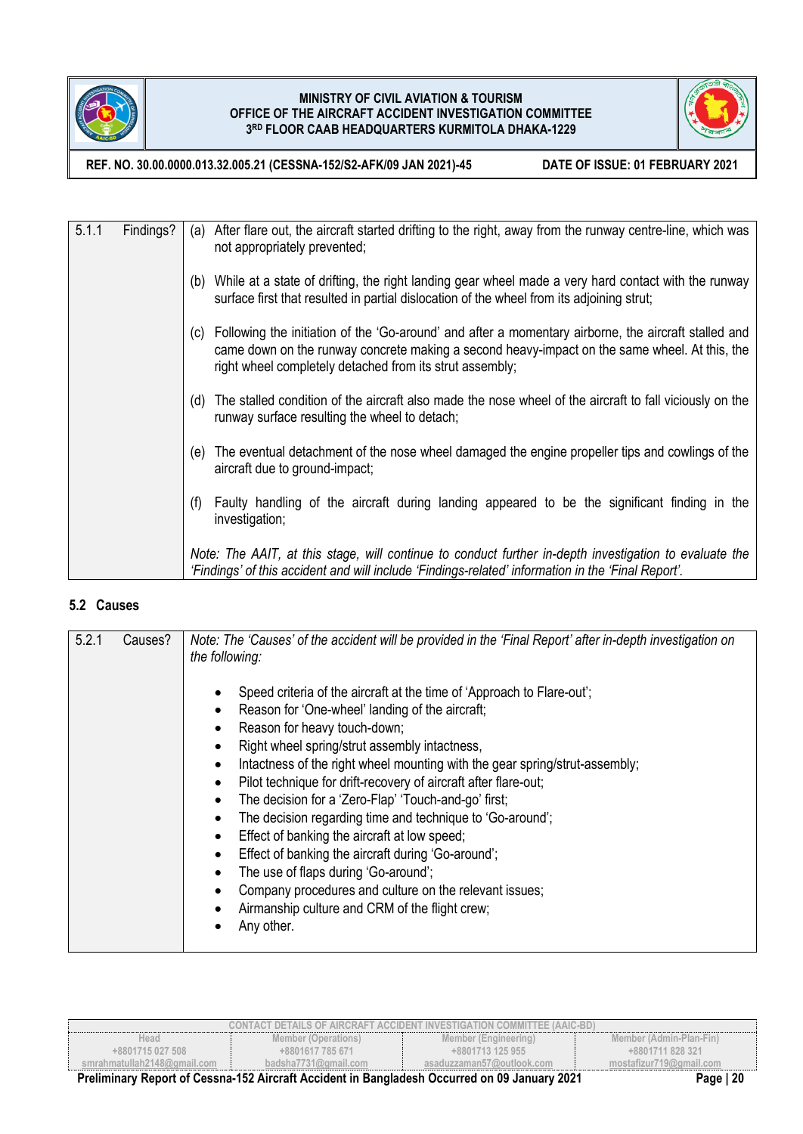



**REF. NO. 30.00.0000.013.32.005.21 (CESSNA-152/S2-AFK/09 JAN 2021)-45 DATE OF ISSUE: 01 FEBRUARY 2021**

| 5.1.1 | Findings? | After flare out, the aircraft started drifting to the right, away from the runway centre-line, which was<br>(a)<br>not appropriately prevented;                                                                                                                       |
|-------|-----------|-----------------------------------------------------------------------------------------------------------------------------------------------------------------------------------------------------------------------------------------------------------------------|
|       |           | (b) While at a state of drifting, the right landing gear wheel made a very hard contact with the runway<br>surface first that resulted in partial dislocation of the wheel from its adjoining strut;                                                                  |
|       |           | (c) Following the initiation of the 'Go-around' and after a momentary airborne, the aircraft stalled and<br>came down on the runway concrete making a second heavy-impact on the same wheel. At this, the<br>right wheel completely detached from its strut assembly; |
|       |           | (d) The stalled condition of the aircraft also made the nose wheel of the aircraft to fall viciously on the<br>runway surface resulting the wheel to detach;                                                                                                          |
|       |           | The eventual detachment of the nose wheel damaged the engine propeller tips and cowlings of the<br>(e)<br>aircraft due to ground-impact;                                                                                                                              |
|       |           | Faulty handling of the aircraft during landing appeared to be the significant finding in the<br>(f)<br>investigation;                                                                                                                                                 |
|       |           | Note: The AAIT, at this stage, will continue to conduct further in-depth investigation to evaluate the<br>'Findings' of this accident and will include 'Findings-related' information in the 'Final Report'.                                                          |

## **5.2 Causes**

| 5.2.1<br>Causes?<br>Note: The 'Causes' of the accident will be provided in the 'Final Report' after in-depth investigation on<br>the following:                                                                                                                                                                                                                                                                                                                                                                                                                                                                                                                                                                                                                                                                                        |  |
|----------------------------------------------------------------------------------------------------------------------------------------------------------------------------------------------------------------------------------------------------------------------------------------------------------------------------------------------------------------------------------------------------------------------------------------------------------------------------------------------------------------------------------------------------------------------------------------------------------------------------------------------------------------------------------------------------------------------------------------------------------------------------------------------------------------------------------------|--|
| Speed criteria of the aircraft at the time of 'Approach to Flare-out';<br>Reason for 'One-wheel' landing of the aircraft;<br>Reason for heavy touch-down;<br>٠<br>Right wheel spring/strut assembly intactness,<br>٠<br>Intactness of the right wheel mounting with the gear spring/strut-assembly;<br>$\bullet$<br>Pilot technique for drift-recovery of aircraft after flare-out;<br>$\bullet$<br>The decision for a 'Zero-Flap' 'Touch-and-go' first;<br>$\bullet$<br>The decision regarding time and technique to 'Go-around';<br>٠<br>Effect of banking the aircraft at low speed;<br>$\bullet$<br>Effect of banking the aircraft during 'Go-around';<br>٠<br>The use of flaps during 'Go-around';<br>٠<br>Company procedures and culture on the relevant issues;<br>Airmanship culture and CRM of the flight crew;<br>Any other. |  |

| CONTACT DETAILS OF AIRCRAFT ACCIDENT INVESTIGATION COMMITTEE (AAIC-BD)                                      |                      |                           |                         |  |  |
|-------------------------------------------------------------------------------------------------------------|----------------------|---------------------------|-------------------------|--|--|
| Head                                                                                                        | Member (Operations)  | Member (Engineering)      | Member (Admin-Plan-Fin) |  |  |
| +8801715 027 508                                                                                            | +8801617 785 671     | +8801713 125 955          | +8801711 828 321        |  |  |
| smrahmatullah2148@qmail.com                                                                                 | badsha7731@gmail.com | asaduzzaman57@outlook.com | mostafizur719@gmail.com |  |  |
| Preliminary Report of Cessna-152 Aircraft Accident in Bangladesh Occurred on 09 January 2021<br>Page $ 20 $ |                      |                           |                         |  |  |